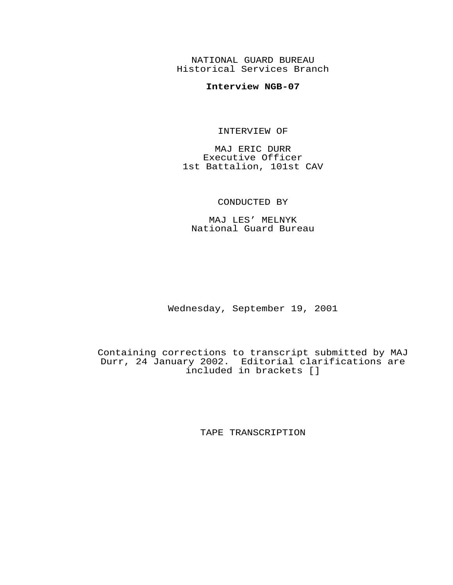NATIONAL GUARD BUREAU Historical Services Branch

## **Interview NGB-07**

INTERVIEW OF

MAJ ERIC DURR Executive Officer 1st Battalion, 101st CAV

## CONDUCTED BY

MAJ LES' MELNYK National Guard Bureau

Wednesday, September 19, 2001

Containing corrections to transcript submitted by MAJ Durr, 24 January 2002. Editorial clarifications are included in brackets []

TAPE TRANSCRIPTION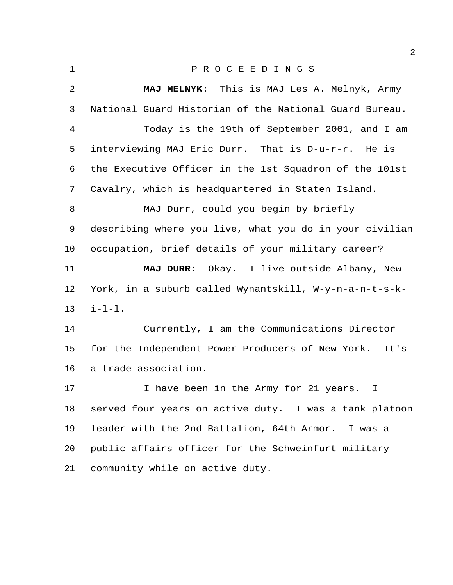P R O C E E D I N G S **MAJ MELNYK**: This is MAJ Les A. Melnyk, Army National Guard Historian of the National Guard Bureau. Today is the 19th of September 2001, and I am interviewing MAJ Eric Durr. That is D-u-r-r. He is the Executive Officer in the 1st Squadron of the 101st Cavalry, which is headquartered in Staten Island. MAJ Durr, could you begin by briefly describing where you live, what you do in your civilian occupation, brief details of your military career? **MAJ DURR:** Okay. I live outside Albany, New York, in a suburb called Wynantskill, W-y-n-a-n-t-s-k- i-l-l. Currently, I am the Communications Director for the Independent Power Producers of New York.It's a trade association. 17 1 I have been in the Army for 21 years. I served four years on active duty. I was a tank platoon leader with the 2nd Battalion, 64th Armor. I was a public affairs officer for the Schweinfurt military community while on active duty.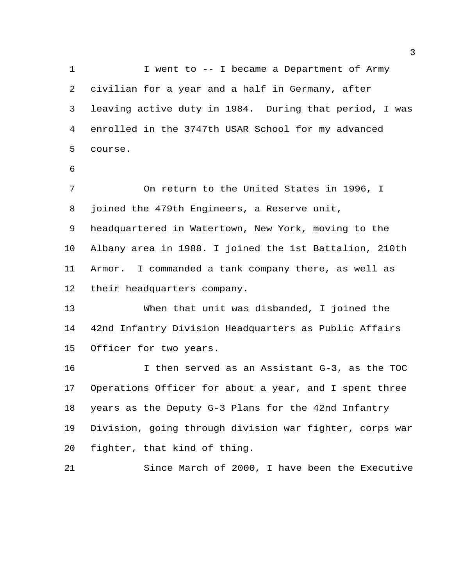1 I went to -- I became a Department of Army civilian for a year and a half in Germany, after leaving active duty in 1984. During that period, I was enrolled in the 3747th USAR School for my advanced course.

 On return to the United States in 1996, I joined the 479th Engineers, a Reserve unit, headquartered in Watertown, New York, moving to the Albany area in 1988. I joined the 1st Battalion, 210th Armor. I commanded a tank company there, as well as their headquarters company.

 When that unit was disbanded, I joined the 42nd Infantry Division Headquarters as Public Affairs Officer for two years.

 I then served as an Assistant G-3, as the TOC Operations Officer for about a year, and I spent three years as the Deputy G-3 Plans for the 42nd Infantry Division, going through division war fighter, corps war fighter, that kind of thing.

Since March of 2000, I have been the Executive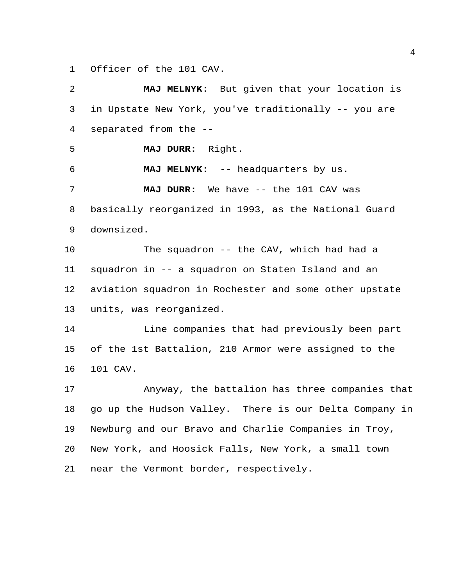Officer of the 101 CAV.

 **MAJ MELNYK**: But given that your location is in Upstate New York, you've traditionally -- you are separated from the -- **MAJ DURR:** Right. **MAJ MELNYK**: -- headquarters by us. **MAJ DURR:** We have -- the 101 CAV was basically reorganized in 1993, as the National Guard downsized. The squadron -- the CAV, which had had a squadron in -- a squadron on Staten Island and an aviation squadron in Rochester and some other upstate units, was reorganized. 14 Line companies that had previously been part of the 1st Battalion, 210 Armor were assigned to the 101 CAV. Anyway, the battalion has three companies that go up the Hudson Valley. There is our Delta Company in Newburg and our Bravo and Charlie Companies in Troy, New York, and Hoosick Falls, New York, a small town near the Vermont border, respectively.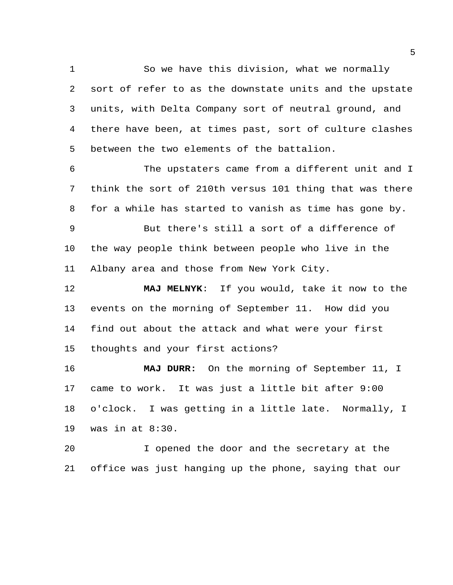So we have this division, what we normally sort of refer to as the downstate units and the upstate units, with Delta Company sort of neutral ground, and there have been, at times past, sort of culture clashes between the two elements of the battalion.

 The upstaters came from a different unit and I think the sort of 210th versus 101 thing that was there for a while has started to vanish as time has gone by.

 But there's still a sort of a difference of the way people think between people who live in the Albany area and those from New York City.

 **MAJ MELNYK**: If you would, take it now to the events on the morning of September 11. How did you find out about the attack and what were your first thoughts and your first actions?

 **MAJ DURR:** On the morning of September 11, I came to work. It was just a little bit after 9:00 o'clock. I was getting in a little late. Normally, I was in at 8:30.

 I opened the door and the secretary at the office was just hanging up the phone, saying that our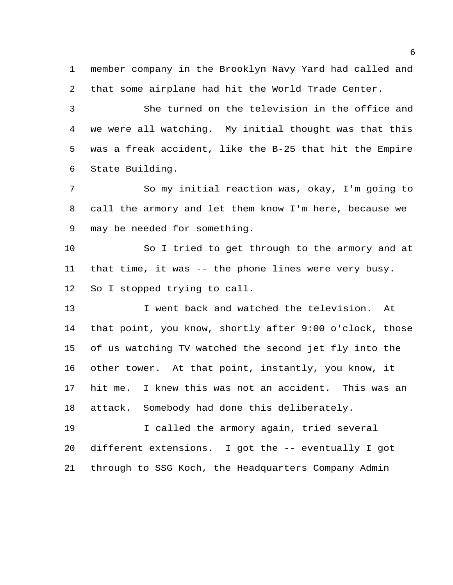member company in the Brooklyn Navy Yard had called and that some airplane had hit the World Trade Center.

 She turned on the television in the office and we were all watching. My initial thought was that this was a freak accident, like the B-25 that hit the Empire State Building.

 So my initial reaction was, okay, I'm going to call the armory and let them know I'm here, because we may be needed for something.

 So I tried to get through to the armory and at that time, it was -- the phone lines were very busy. So I stopped trying to call.

 I went back and watched the television. At that point, you know, shortly after 9:00 o'clock, those of us watching TV watched the second jet fly into the other tower. At that point, instantly, you know, it hit me. I knew this was not an accident. This was an attack. Somebody had done this deliberately.

 I called the armory again, tried several different extensions. I got the -- eventually I got through to SSG Koch, the Headquarters Company Admin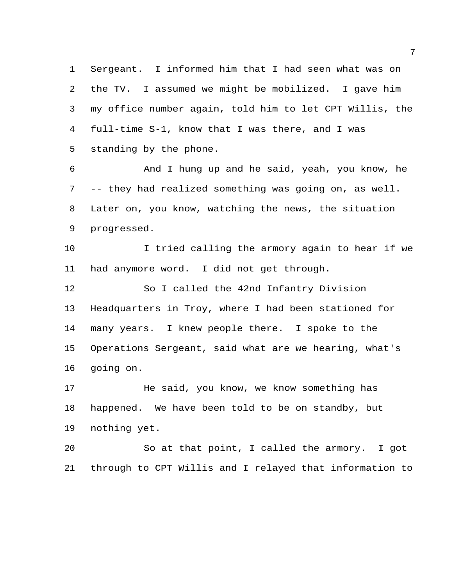Sergeant. I informed him that I had seen what was on the TV. I assumed we might be mobilized. I gave him my office number again, told him to let CPT Willis, the full-time S-1, know that I was there, and I was standing by the phone.

 And I hung up and he said, yeah, you know, he -- they had realized something was going on, as well. Later on, you know, watching the news, the situation progressed.

 I tried calling the armory again to hear if we had anymore word. I did not get through.

 So I called the 42nd Infantry Division Headquarters in Troy, where I had been stationed for many years. I knew people there. I spoke to the Operations Sergeant, said what are we hearing, what's going on.

17 He said, you know, we know something has happened. We have been told to be on standby, but nothing yet.

 So at that point, I called the armory. I got through to CPT Willis and I relayed that information to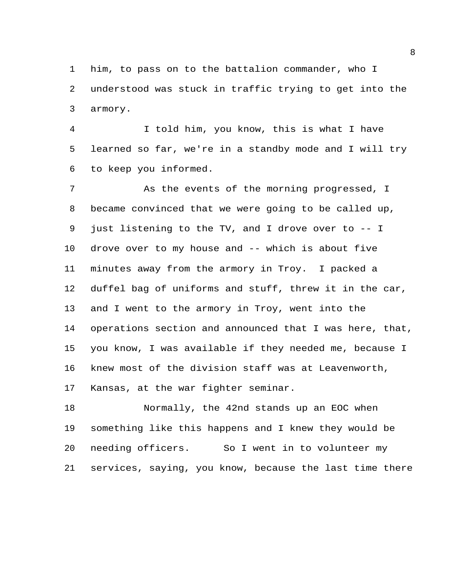him, to pass on to the battalion commander, who I understood was stuck in traffic trying to get into the armory.

 I told him, you know, this is what I have learned so far, we're in a standby mode and I will try to keep you informed.

 As the events of the morning progressed, I became convinced that we were going to be called up, just listening to the TV, and I drove over to -- I drove over to my house and -- which is about five minutes away from the armory in Troy. I packed a duffel bag of uniforms and stuff, threw it in the car, and I went to the armory in Troy, went into the operations section and announced that I was here, that, you know, I was available if they needed me, because I knew most of the division staff was at Leavenworth, Kansas, at the war fighter seminar.

 Normally, the 42nd stands up an EOC when something like this happens and I knew they would be needing officers. So I went in to volunteer my services, saying, you know, because the last time there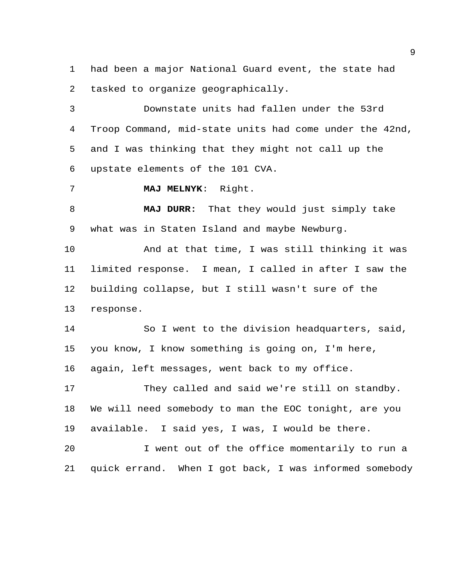had been a major National Guard event, the state had tasked to organize geographically.

 Downstate units had fallen under the 53rd Troop Command, mid-state units had come under the 42nd, and I was thinking that they might not call up the upstate elements of the 101 CVA.

**MAJ MELNYK**: Right.

 **MAJ DURR:** That they would just simply take what was in Staten Island and maybe Newburg.

 And at that time, I was still thinking it was limited response. I mean, I called in after I saw the building collapse, but I still wasn't sure of the response.

 So I went to the division headquarters, said, you know, I know something is going on, I'm here, again, left messages, went back to my office.

 They called and said we're still on standby. We will need somebody to man the EOC tonight, are you available. I said yes, I was, I would be there.

 I went out of the office momentarily to run a quick errand. When I got back, I was informed somebody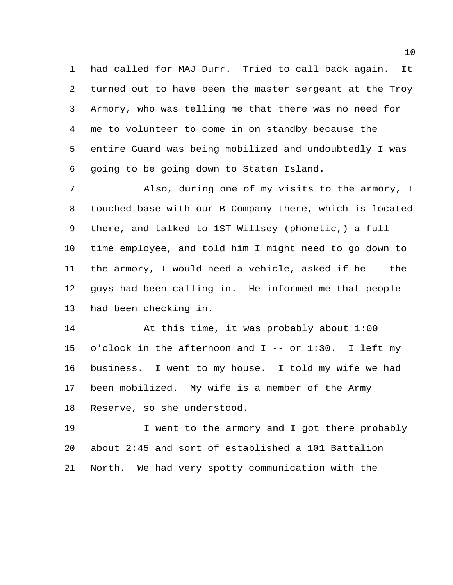had called for MAJ Durr. Tried to call back again. It turned out to have been the master sergeant at the Troy Armory, who was telling me that there was no need for me to volunteer to come in on standby because the entire Guard was being mobilized and undoubtedly I was going to be going down to Staten Island.

 Also, during one of my visits to the armory, I touched base with our B Company there, which is located there, and talked to 1ST Willsey (phonetic,) a full- time employee, and told him I might need to go down to the armory, I would need a vehicle, asked if he -- the guys had been calling in. He informed me that people had been checking in.

 At this time, it was probably about 1:00 o'clock in the afternoon and I -- or 1:30. I left my business. I went to my house. I told my wife we had been mobilized. My wife is a member of the Army Reserve, so she understood.

19 I went to the armory and I got there probably about 2:45 and sort of established a 101 Battalion North. We had very spotty communication with the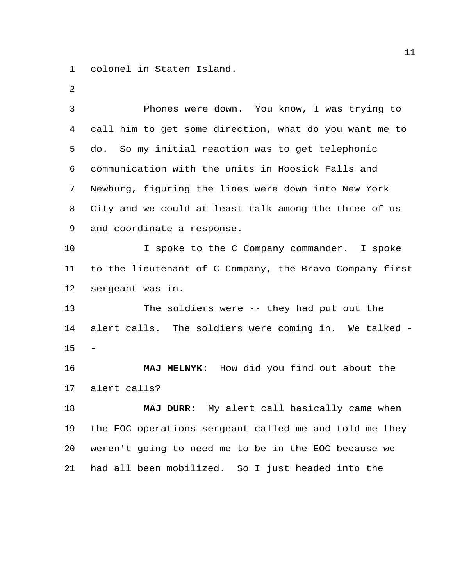colonel in Staten Island.

| 3              | Phones were down. You know, I was trying to             |
|----------------|---------------------------------------------------------|
| $\overline{4}$ | call him to get some direction, what do you want me to  |
| 5              | So my initial reaction was to get telephonic<br>do.     |
| 6              | communication with the units in Hoosick Falls and       |
| 7              | Newburg, figuring the lines were down into New York     |
| 8              | City and we could at least talk among the three of us   |
| 9              | and coordinate a response.                              |
| 10             | I spoke to the C Company commander. I spoke             |
| 11             | to the lieutenant of C Company, the Bravo Company first |
| 12             | sergeant was in.                                        |
| 13             | The soldiers were -- they had put out the               |
| 14             | alert calls. The soldiers were coming in. We talked -   |
| 15             |                                                         |
| 16             | MAJ MELNYK: How did you find out about the              |
| 17             | alert calls?                                            |
| 18             | MAJ DURR: My alert call basically came when             |
| 19             | the EOC operations sergeant called me and told me they  |
| 20             | weren't going to need me to be in the EOC because we    |
| 21             | had all been mobilized. So I just headed into the       |
|                |                                                         |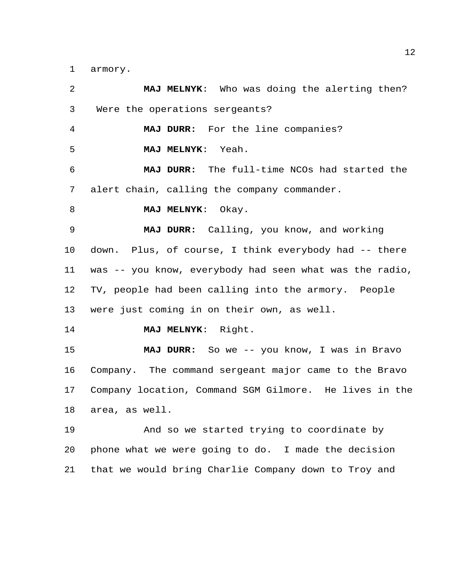armory.

| 2  | MAJ MELNYK: Who was doing the alerting then?            |
|----|---------------------------------------------------------|
| 3  | Were the operations sergeants?                          |
| 4  | MAJ DURR: For the line companies?                       |
| 5  | MAJ MELNYK: Yeah.                                       |
| 6  | MAJ DURR: The full-time NCOs had started the            |
| 7  | alert chain, calling the company commander.             |
| 8  | MAJ MELNYK: Okay.                                       |
| 9  | MAJ DURR: Calling, you know, and working                |
| 10 | down. Plus, of course, I think everybody had -- there   |
| 11 | was -- you know, everybody had seen what was the radio, |
| 12 | TV, people had been calling into the armory. People     |
| 13 | were just coming in on their own, as well.              |
| 14 | MAJ MELNYK: Right.                                      |
| 15 | MAJ DURR: So we -- you know, I was in Bravo             |
| 16 | Company. The command sergeant major came to the Bravo   |
| 17 | Company location, Command SGM Gilmore. He lives in the  |
| 18 | area, as well.                                          |
| 19 | And so we started trying to coordinate by               |
| 20 | phone what we were going to do. I made the decision     |
| 21 | that we would bring Charlie Company down to Troy and    |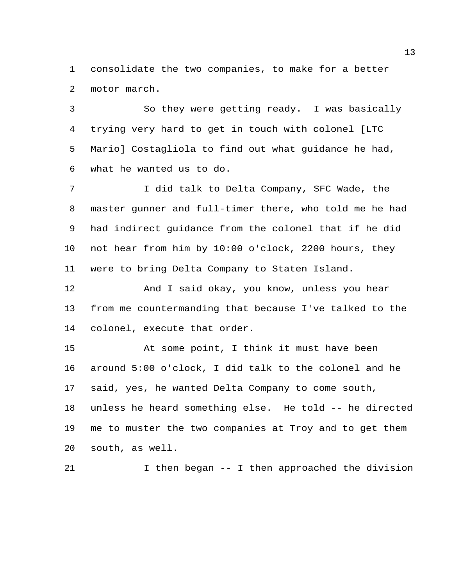consolidate the two companies, to make for a better motor march.

 So they were getting ready. I was basically trying very hard to get in touch with colonel [LTC Mario] Costagliola to find out what guidance he had, what he wanted us to do.

 I did talk to Delta Company, SFC Wade, the master gunner and full-timer there, who told me he had had indirect guidance from the colonel that if he did not hear from him by 10:00 o'clock, 2200 hours, they were to bring Delta Company to Staten Island.

12 And I said okay, you know, unless you hear from me countermanding that because I've talked to the colonel, execute that order.

 At some point, I think it must have been around 5:00 o'clock, I did talk to the colonel and he said, yes, he wanted Delta Company to come south, unless he heard something else. He told -- he directed me to muster the two companies at Troy and to get them south, as well.

I then began -- I then approached the division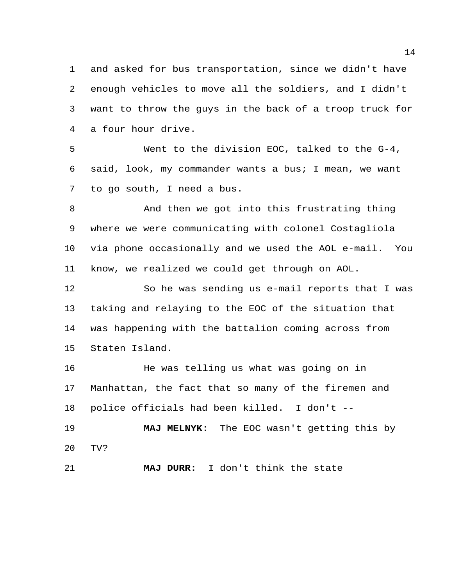and asked for bus transportation, since we didn't have enough vehicles to move all the soldiers, and I didn't want to throw the guys in the back of a troop truck for a four hour drive.

 Went to the division EOC, talked to the G-4, said, look, my commander wants a bus; I mean, we want to go south, I need a bus.

 And then we got into this frustrating thing where we were communicating with colonel Costagliola via phone occasionally and we used the AOL e-mail. You know, we realized we could get through on AOL.

 So he was sending us e-mail reports that I was taking and relaying to the EOC of the situation that was happening with the battalion coming across from Staten Island.

16 He was telling us what was going on in Manhattan, the fact that so many of the firemen and police officials had been killed. I don't --

 **MAJ MELNYK**: The EOC wasn't getting this by TV?

**MAJ DURR:** I don't think the state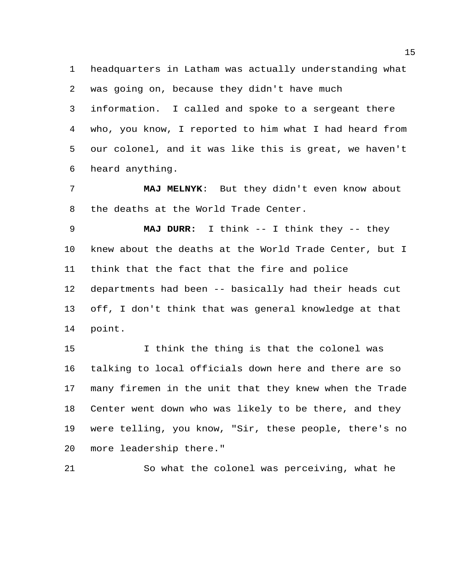headquarters in Latham was actually understanding what was going on, because they didn't have much information. I called and spoke to a sergeant there who, you know, I reported to him what I had heard from our colonel, and it was like this is great, we haven't heard anything.

 **MAJ MELNYK**: But they didn't even know about the deaths at the World Trade Center.

 **MAJ DURR:** I think -- I think they -- they knew about the deaths at the World Trade Center, but I think that the fact that the fire and police departments had been -- basically had their heads cut off, I don't think that was general knowledge at that point.

 I think the thing is that the colonel was talking to local officials down here and there are so many firemen in the unit that they knew when the Trade Center went down who was likely to be there, and they were telling, you know, "Sir, these people, there's no more leadership there."

So what the colonel was perceiving, what he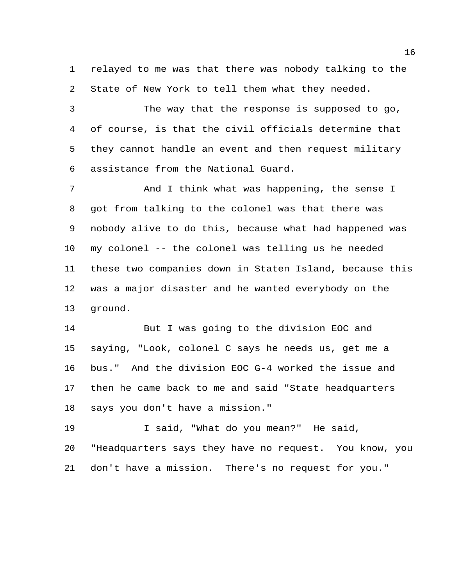relayed to me was that there was nobody talking to the State of New York to tell them what they needed.

 The way that the response is supposed to go, of course, is that the civil officials determine that they cannot handle an event and then request military assistance from the National Guard.

 And I think what was happening, the sense I got from talking to the colonel was that there was nobody alive to do this, because what had happened was my colonel -- the colonel was telling us he needed these two companies down in Staten Island, because this was a major disaster and he wanted everybody on the ground.

 But I was going to the division EOC and saying, "Look, colonel C says he needs us, get me a bus." And the division EOC G-4 worked the issue and then he came back to me and said "State headquarters says you don't have a mission."

 I said, "What do you mean?" He said, "Headquarters says they have no request. You know, you don't have a mission. There's no request for you."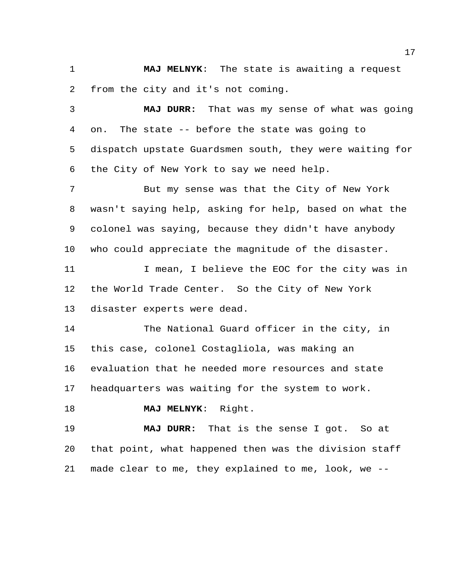**MAJ MELNYK**: The state is awaiting a request from the city and it's not coming.

 **MAJ DURR:** That was my sense of what was going on. The state -- before the state was going to dispatch upstate Guardsmen south, they were waiting for the City of New York to say we need help.

 But my sense was that the City of New York wasn't saying help, asking for help, based on what the colonel was saying, because they didn't have anybody who could appreciate the magnitude of the disaster.

11 1 I mean, I believe the EOC for the city was in the World Trade Center. So the City of New York disaster experts were dead.

14 The National Guard officer in the city, in this case, colonel Costagliola, was making an evaluation that he needed more resources and state headquarters was waiting for the system to work.

**MAJ MELNYK**: Right.

 **MAJ DURR:** That is the sense I got. So at that point, what happened then was the division staff made clear to me, they explained to me, look, we --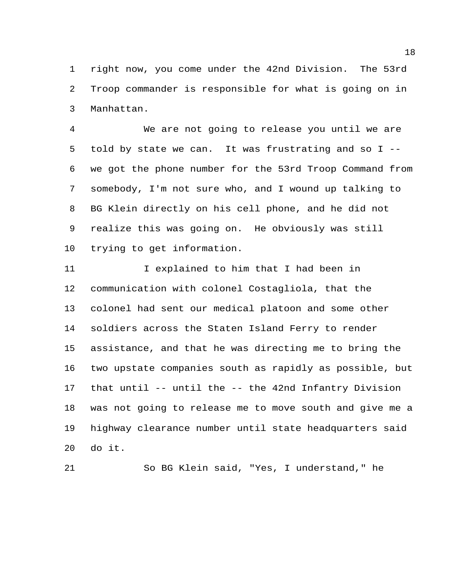right now, you come under the 42nd Division. The 53rd Troop commander is responsible for what is going on in Manhattan.

 We are not going to release you until we are told by state we can. It was frustrating and so I -- we got the phone number for the 53rd Troop Command from somebody, I'm not sure who, and I wound up talking to BG Klein directly on his cell phone, and he did not realize this was going on. He obviously was still trying to get information.

 I explained to him that I had been in communication with colonel Costagliola, that the colonel had sent our medical platoon and some other soldiers across the Staten Island Ferry to render assistance, and that he was directing me to bring the two upstate companies south as rapidly as possible, but that until -- until the -- the 42nd Infantry Division was not going to release me to move south and give me a highway clearance number until state headquarters said do it.

So BG Klein said, "Yes, I understand," he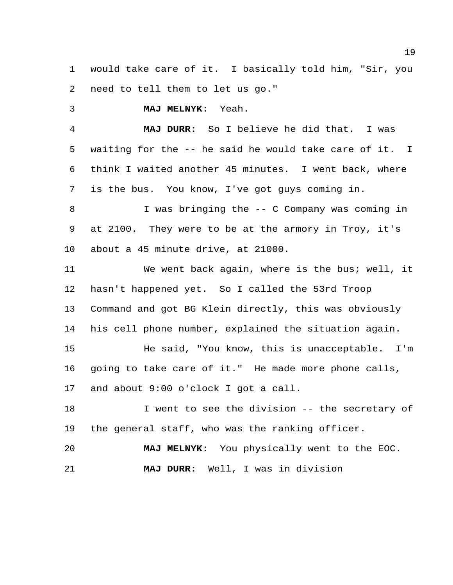would take care of it. I basically told him, "Sir, you need to tell them to let us go."

**MAJ MELNYK**: Yeah.

 **MAJ DURR:** So I believe he did that. I was waiting for the -- he said he would take care of it. I think I waited another 45 minutes. I went back, where is the bus. You know, I've got guys coming in.

 I was bringing the -- C Company was coming in at 2100. They were to be at the armory in Troy, it's about a 45 minute drive, at 21000.

 We went back again, where is the bus; well, it hasn't happened yet. So I called the 53rd Troop Command and got BG Klein directly, this was obviously his cell phone number, explained the situation again. He said, "You know, this is unacceptable. I'm going to take care of it." He made more phone calls, and about 9:00 o'clock I got a call.

18 18 I went to see the division -- the secretary of the general staff, who was the ranking officer.

 **MAJ MELNYK**: You physically went to the EOC. **MAJ DURR:** Well, I was in division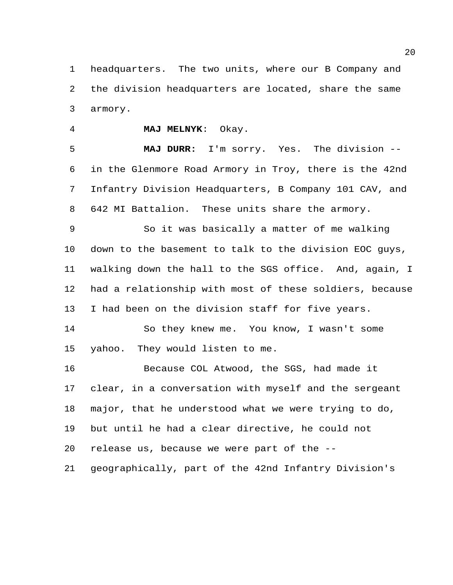headquarters. The two units, where our B Company and the division headquarters are located, share the same armory.

**MAJ MELNYK**: Okay.

 **MAJ DURR:** I'm sorry. Yes. The division -- in the Glenmore Road Armory in Troy, there is the 42nd Infantry Division Headquarters, B Company 101 CAV, and 642 MI Battalion. These units share the armory.

 So it was basically a matter of me walking down to the basement to talk to the division EOC guys, walking down the hall to the SGS office. And, again, I had a relationship with most of these soldiers, because I had been on the division staff for five years.

 So they knew me. You know, I wasn't some yahoo. They would listen to me.

16 Because COL Atwood, the SGS, had made it clear, in a conversation with myself and the sergeant major, that he understood what we were trying to do, but until he had a clear directive, he could not release us, because we were part of the -- geographically, part of the 42nd Infantry Division's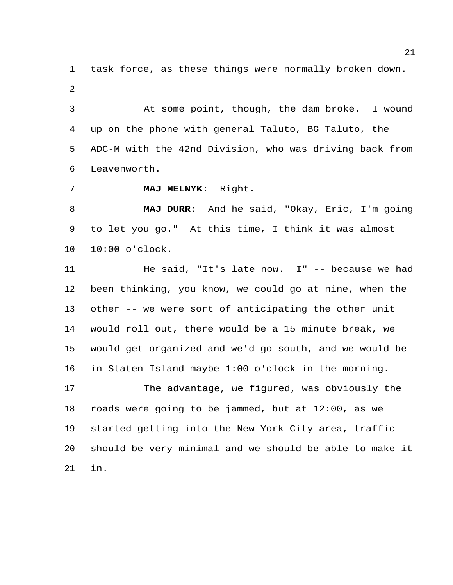task force, as these things were normally broken down. 

 At some point, though, the dam broke. I wound up on the phone with general Taluto, BG Taluto, the ADC-M with the 42nd Division, who was driving back from Leavenworth.

**MAJ MELNYK**: Right.

in.

 **MAJ DURR:** And he said, "Okay, Eric, I'm going to let you go." At this time, I think it was almost 10:00 o'clock.

11 He said, "It's late now. I" -- because we had been thinking, you know, we could go at nine, when the other -- we were sort of anticipating the other unit would roll out, there would be a 15 minute break, we would get organized and we'd go south, and we would be in Staten Island maybe 1:00 o'clock in the morning. The advantage, we figured, was obviously the roads were going to be jammed, but at 12:00, as we started getting into the New York City area, traffic should be very minimal and we should be able to make it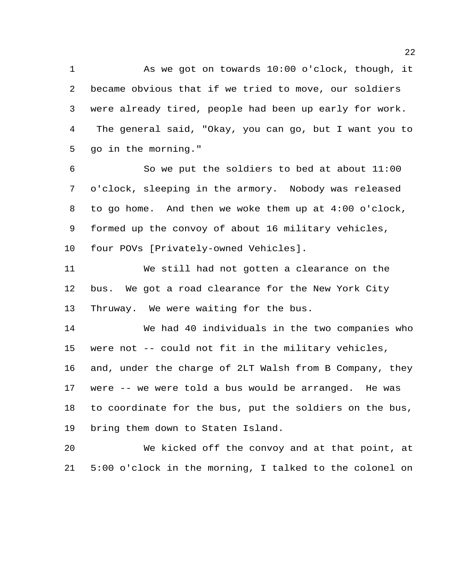As we got on towards 10:00 o'clock, though, it became obvious that if we tried to move, our soldiers were already tired, people had been up early for work. The general said, "Okay, you can go, but I want you to go in the morning."

 So we put the soldiers to bed at about 11:00 o'clock, sleeping in the armory. Nobody was released to go home. And then we woke them up at 4:00 o'clock, formed up the convoy of about 16 military vehicles, four POVs [Privately-owned Vehicles].

 We still had not gotten a clearance on the bus. We got a road clearance for the New York City Thruway. We were waiting for the bus.

 We had 40 individuals in the two companies who were not -- could not fit in the military vehicles, and, under the charge of 2LT Walsh from B Company, they were -- we were told a bus would be arranged. He was to coordinate for the bus, put the soldiers on the bus, bring them down to Staten Island.

 We kicked off the convoy and at that point, at 5:00 o'clock in the morning, I talked to the colonel on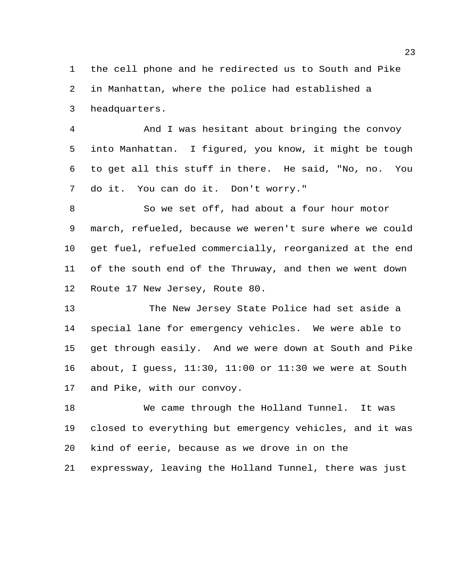the cell phone and he redirected us to South and Pike in Manhattan, where the police had established a headquarters.

 And I was hesitant about bringing the convoy into Manhattan. I figured, you know, it might be tough to get all this stuff in there. He said, "No, no. You do it. You can do it. Don't worry."

 So we set off, had about a four hour motor march, refueled, because we weren't sure where we could get fuel, refueled commercially, reorganized at the end of the south end of the Thruway, and then we went down Route 17 New Jersey, Route 80.

13 The New Jersey State Police had set aside a special lane for emergency vehicles. We were able to get through easily. And we were down at South and Pike about, I guess, 11:30, 11:00 or 11:30 we were at South and Pike, with our convoy.

 We came through the Holland Tunnel. It was closed to everything but emergency vehicles, and it was kind of eerie, because as we drove in on the expressway, leaving the Holland Tunnel, there was just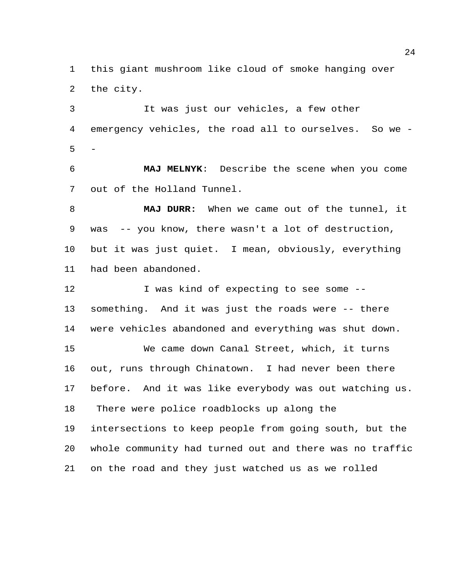this giant mushroom like cloud of smoke hanging over the city.

3 It was just our vehicles, a few other emergency vehicles, the road all to ourselves. So we - -

 **MAJ MELNYK**: Describe the scene when you come out of the Holland Tunnel.

 **MAJ DURR:** When we came out of the tunnel, it was -- you know, there wasn't a lot of destruction, but it was just quiet. I mean, obviously, everything had been abandoned.

12 I was kind of expecting to see some -- something. And it was just the roads were -- there were vehicles abandoned and everything was shut down. We came down Canal Street, which, it turns out, runs through Chinatown. I had never been there before. And it was like everybody was out watching us. There were police roadblocks up along the intersections to keep people from going south, but the whole community had turned out and there was no traffic on the road and they just watched us as we rolled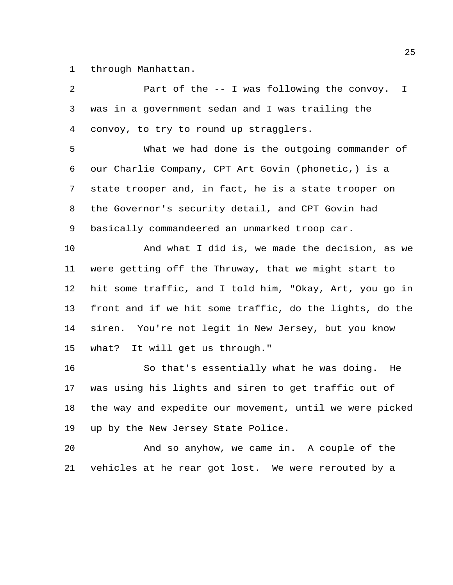through Manhattan.

 Part of the -- I was following the convoy. I was in a government sedan and I was trailing the convoy, to try to round up stragglers. What we had done is the outgoing commander of our Charlie Company, CPT Art Govin (phonetic,) is a state trooper and, in fact, he is a state trooper on the Governor's security detail, and CPT Govin had basically commandeered an unmarked troop car. And what I did is, we made the decision, as we were getting off the Thruway, that we might start to hit some traffic, and I told him, "Okay, Art, you go in front and if we hit some traffic, do the lights, do the siren. You're not legit in New Jersey, but you know what? It will get us through." So that's essentially what he was doing. He was using his lights and siren to get traffic out of the way and expedite our movement, until we were picked up by the New Jersey State Police.

 And so anyhow, we came in. A couple of the vehicles at he rear got lost. We were rerouted by a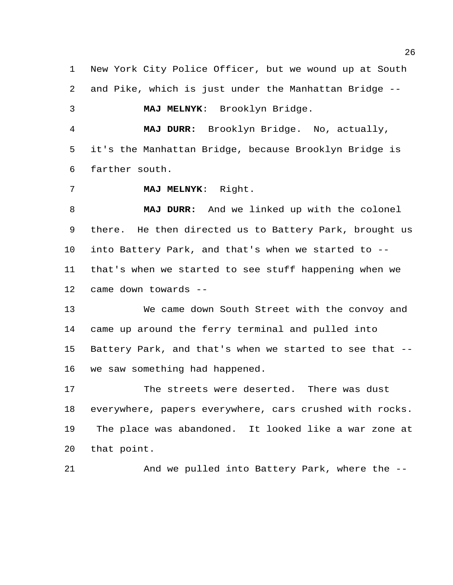New York City Police Officer, but we wound up at South and Pike, which is just under the Manhattan Bridge -- **MAJ MELNYK**: Brooklyn Bridge. **MAJ DURR:** Brooklyn Bridge. No, actually, it's the Manhattan Bridge, because Brooklyn Bridge is farther south. **MAJ MELNYK**: Right. **MAJ DURR:** And we linked up with the colonel there. He then directed us to Battery Park, brought us into Battery Park, and that's when we started to -- that's when we started to see stuff happening when we came down towards -- We came down South Street with the convoy and came up around the ferry terminal and pulled into Battery Park, and that's when we started to see that -- we saw something had happened. The streets were deserted. There was dust everywhere, papers everywhere, cars crushed with rocks.

 The place was abandoned. It looked like a war zone at that point.

21 And we pulled into Battery Park, where the --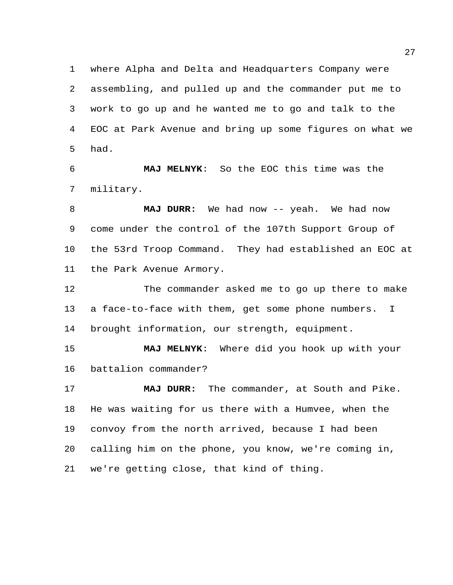where Alpha and Delta and Headquarters Company were assembling, and pulled up and the commander put me to work to go up and he wanted me to go and talk to the EOC at Park Avenue and bring up some figures on what we had.

 **MAJ MELNYK**: So the EOC this time was the military.

 **MAJ DURR:** We had now -- yeah. We had now come under the control of the 107th Support Group of the 53rd Troop Command. They had established an EOC at the Park Avenue Armory.

 The commander asked me to go up there to make a face-to-face with them, get some phone numbers. I brought information, our strength, equipment.

 **MAJ MELNYK**: Where did you hook up with your battalion commander?

 **MAJ DURR:** The commander, at South and Pike. He was waiting for us there with a Humvee, when the convoy from the north arrived, because I had been calling him on the phone, you know, we're coming in, we're getting close, that kind of thing.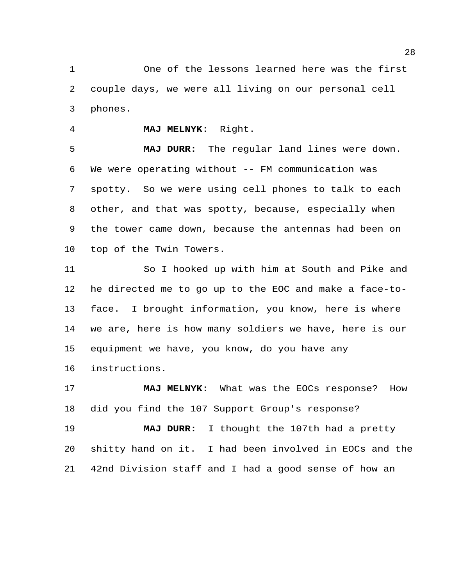One of the lessons learned here was the first couple days, we were all living on our personal cell phones.

**MAJ MELNYK**: Right.

 **MAJ DURR:** The regular land lines were down. We were operating without -- FM communication was spotty. So we were using cell phones to talk to each other, and that was spotty, because, especially when the tower came down, because the antennas had been on top of the Twin Towers.

 So I hooked up with him at South and Pike and he directed me to go up to the EOC and make a face-to- face. I brought information, you know, here is where we are, here is how many soldiers we have, here is our equipment we have, you know, do you have any instructions.

**MAJ MELNYK**: What was the EOCs response? How did you find the 107 Support Group's response?

 **MAJ DURR:** I thought the 107th had a pretty shitty hand on it. I had been involved in EOCs and the 42nd Division staff and I had a good sense of how an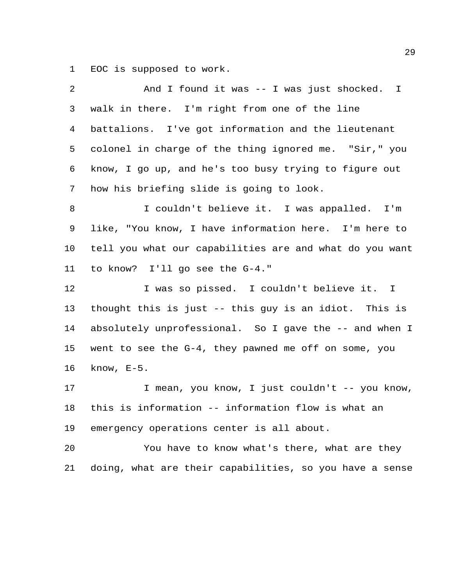EOC is supposed to work.

| 2  | And I found it was -- I was just shocked. I             |
|----|---------------------------------------------------------|
| 3  | walk in there. I'm right from one of the line           |
| 4  | battalions. I've got information and the lieutenant     |
| 5  | colonel in charge of the thing ignored me. "Sir," you   |
| 6  | know, I go up, and he's too busy trying to figure out   |
| 7  | how his briefing slide is going to look.                |
| 8  | I couldn't believe it. I was appalled. I'm              |
| 9  | like, "You know, I have information here. I'm here to   |
| 10 | tell you what our capabilities are and what do you want |
| 11 | to know? I'll go see the G-4."                          |
| 12 | I was so pissed. I couldn't believe it. I               |
| 13 | thought this is just -- this guy is an idiot. This is   |
| 14 | absolutely unprofessional. So I gave the -- and when I  |
| 15 | went to see the G-4, they pawned me off on some, you    |
| 16 | know, $E-5$ .                                           |
| 17 | I mean, you know, I just couldn't -- you know,          |
| 18 | this is information -- information flow is what an      |
| 19 | emergency operations center is all about.               |
| 20 | You have to know what's there, what are they            |
| 21 | doing, what are their capabilities, so you have a sense |
|    |                                                         |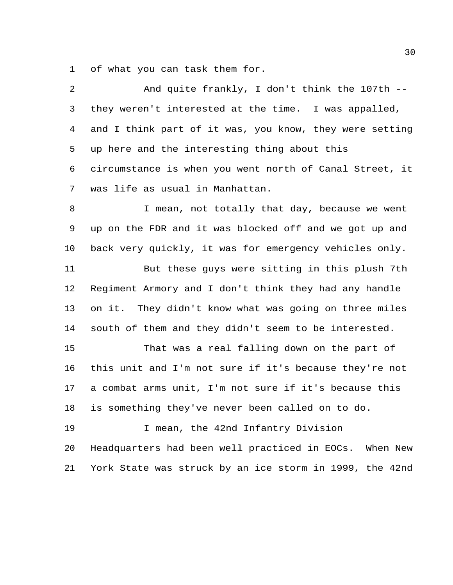of what you can task them for.

| 2  | And quite frankly, I don't think the 107th --           |
|----|---------------------------------------------------------|
| 3  | they weren't interested at the time. I was appalled,    |
| 4  | and I think part of it was, you know, they were setting |
| 5  | up here and the interesting thing about this            |
| 6  | circumstance is when you went north of Canal Street, it |
| 7  | was life as usual in Manhattan.                         |
| 8  | I mean, not totally that day, because we went           |
| 9  | up on the FDR and it was blocked off and we got up and  |
| 10 | back very quickly, it was for emergency vehicles only.  |
| 11 | But these guys were sitting in this plush 7th           |
| 12 | Regiment Armory and I don't think they had any handle   |
| 13 | on it. They didn't know what was going on three miles   |
| 14 | south of them and they didn't seem to be interested.    |
| 15 | That was a real falling down on the part of             |
| 16 | this unit and I'm not sure if it's because they're not  |
| 17 | a combat arms unit, I'm not sure if it's because this   |
| 18 | is something they've never been called on to do.        |
| 19 | I mean, the 42nd Infantry Division                      |
| 20 | Headquarters had been well practiced in EOCs. When New  |
| 21 | York State was struck by an ice storm in 1999, the 42nd |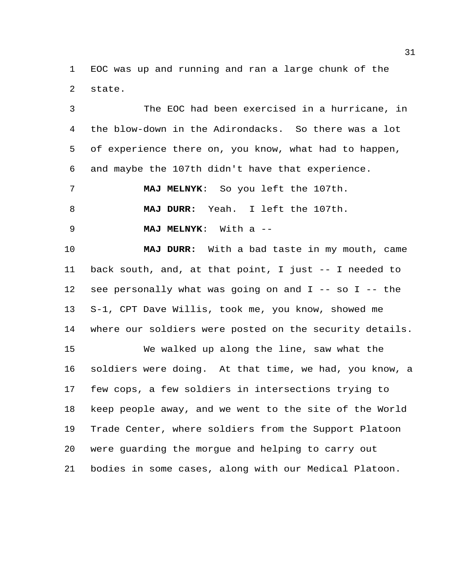EOC was up and running and ran a large chunk of the state.

 The EOC had been exercised in a hurricane, in the blow-down in the Adirondacks. So there was a lot of experience there on, you know, what had to happen, and maybe the 107th didn't have that experience.

 **MAJ MELNYK**: So you left the 107th. **MAJ DURR:** Yeah. I left the 107th.

**MAJ MELNYK**: With a --

 **MAJ DURR:** With a bad taste in my mouth, came back south, and, at that point, I just -- I needed to see personally what was going on and I -- so I -- the S-1, CPT Dave Willis, took me, you know, showed me where our soldiers were posted on the security details.

 We walked up along the line, saw what the soldiers were doing. At that time, we had, you know, a few cops, a few soldiers in intersections trying to keep people away, and we went to the site of the World Trade Center, where soldiers from the Support Platoon were guarding the morgue and helping to carry out bodies in some cases, along with our Medical Platoon.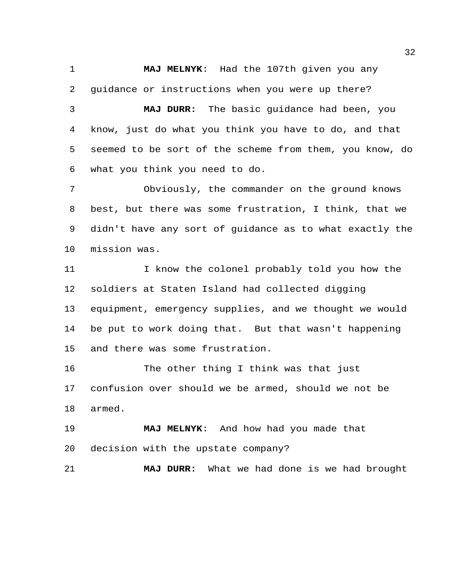**MAJ MELNYK**: Had the 107th given you any

guidance or instructions when you were up there?

 **MAJ DURR:** The basic guidance had been, you know, just do what you think you have to do, and that seemed to be sort of the scheme from them, you know, do what you think you need to do.

 Obviously, the commander on the ground knows best, but there was some frustration, I think, that we didn't have any sort of guidance as to what exactly the mission was.

11 I know the colonel probably told you how the soldiers at Staten Island had collected digging equipment, emergency supplies, and we thought we would be put to work doing that. But that wasn't happening and there was some frustration.

 The other thing I think was that just confusion over should we be armed, should we not be armed.

 **MAJ MELNYK**: And how had you made that decision with the upstate company?

**MAJ DURR:** What we had done is we had brought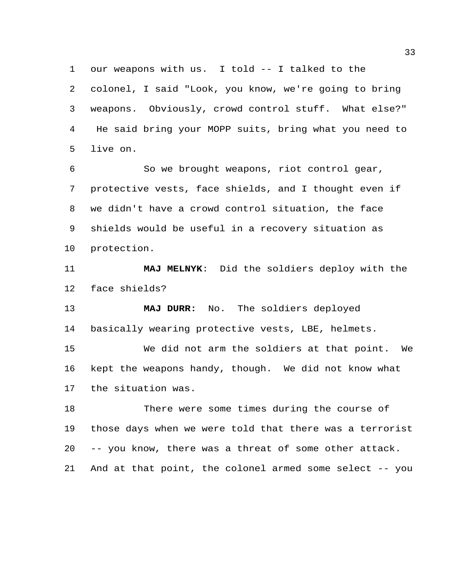our weapons with us. I told -- I talked to the colonel, I said "Look, you know, we're going to bring weapons. Obviously, crowd control stuff. What else?" He said bring your MOPP suits, bring what you need to live on.

 So we brought weapons, riot control gear, protective vests, face shields, and I thought even if we didn't have a crowd control situation, the face shields would be useful in a recovery situation as protection.

 **MAJ MELNYK**: Did the soldiers deploy with the face shields?

 **MAJ DURR:** No. The soldiers deployed basically wearing protective vests, LBE, helmets.

 We did not arm the soldiers at that point. We kept the weapons handy, though. We did not know what the situation was.

 There were some times during the course of those days when we were told that there was a terrorist -- you know, there was a threat of some other attack. And at that point, the colonel armed some select -- you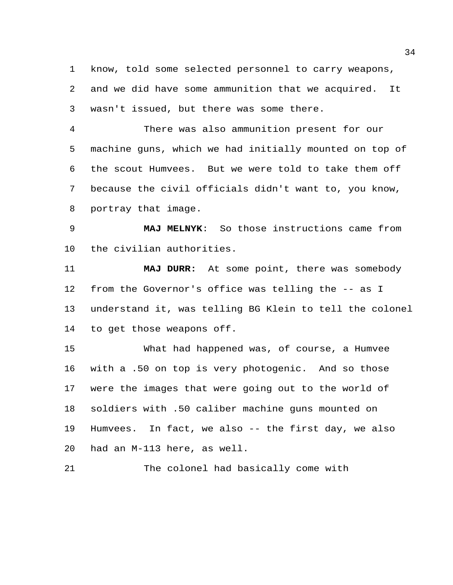know, told some selected personnel to carry weapons, and we did have some ammunition that we acquired. It wasn't issued, but there was some there.

 There was also ammunition present for our machine guns, which we had initially mounted on top of the scout Humvees. But we were told to take them off because the civil officials didn't want to, you know, portray that image.

 **MAJ MELNYK**: So those instructions came from the civilian authorities.

 **MAJ DURR:** At some point, there was somebody from the Governor's office was telling the -- as I understand it, was telling BG Klein to tell the colonel to get those weapons off.

 What had happened was, of course, a Humvee with a .50 on top is very photogenic. And so those were the images that were going out to the world of soldiers with .50 caliber machine guns mounted on Humvees. In fact, we also -- the first day, we also had an M-113 here, as well.

The colonel had basically come with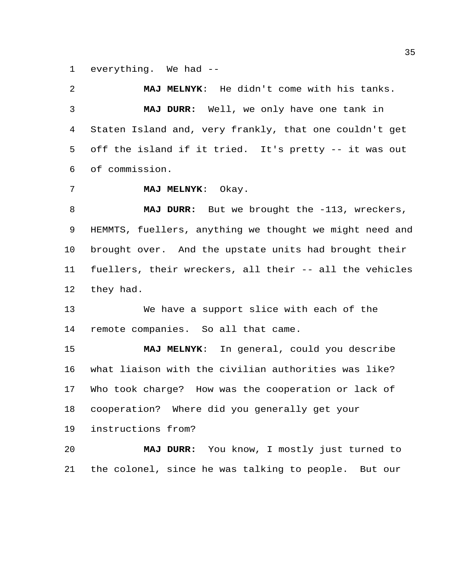everything. We had --

 **MAJ MELNYK**: He didn't come with his tanks. **MAJ DURR:** Well, we only have one tank in Staten Island and, very frankly, that one couldn't get off the island if it tried. It's pretty -- it was out of commission.

**MAJ MELNYK**: Okay.

8 MAJ DURR: But we brought the -113, wreckers, HEMMTS, fuellers, anything we thought we might need and brought over. And the upstate units had brought their fuellers, their wreckers, all their -- all the vehicles they had.

 We have a support slice with each of the remote companies. So all that came.

 **MAJ MELNYK**: In general, could you describe what liaison with the civilian authorities was like? Who took charge? How was the cooperation or lack of cooperation? Where did you generally get your

instructions from?

 **MAJ DURR:** You know, I mostly just turned to the colonel, since he was talking to people. But our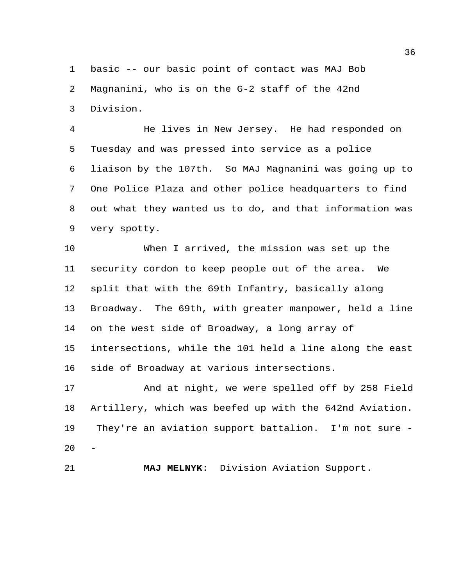basic -- our basic point of contact was MAJ Bob Magnanini, who is on the G-2 staff of the 42nd Division.

 He lives in New Jersey. He had responded on Tuesday and was pressed into service as a police liaison by the 107th. So MAJ Magnanini was going up to One Police Plaza and other police headquarters to find out what they wanted us to do, and that information was very spotty.

 When I arrived, the mission was set up the security cordon to keep people out of the area. We split that with the 69th Infantry, basically along Broadway. The 69th, with greater manpower, held a line on the west side of Broadway, a long array of intersections, while the 101 held a line along the east side of Broadway at various intersections.

 And at night, we were spelled off by 258 Field Artillery, which was beefed up with the 642nd Aviation. They're an aviation support battalion. I'm not sure -  $20<sub>2</sub>$ 

**MAJ MELNYK**: Division Aviation Support.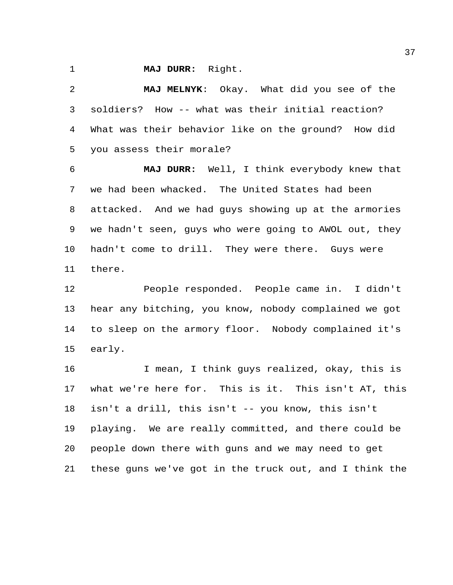**MAJ DURR:** Right.

 **MAJ MELNYK**: Okay. What did you see of the soldiers? How -- what was their initial reaction? What was their behavior like on the ground? How did you assess their morale?

 **MAJ DURR:** Well, I think everybody knew that we had been whacked. The United States had been attacked. And we had guys showing up at the armories we hadn't seen, guys who were going to AWOL out, they hadn't come to drill. They were there. Guys were there.

 People responded. People came in. I didn't hear any bitching, you know, nobody complained we got to sleep on the armory floor. Nobody complained it's early.

 I mean, I think guys realized, okay, this is what we're here for. This is it. This isn't AT, this isn't a drill, this isn't -- you know, this isn't playing. We are really committed, and there could be people down there with guns and we may need to get these guns we've got in the truck out, and I think the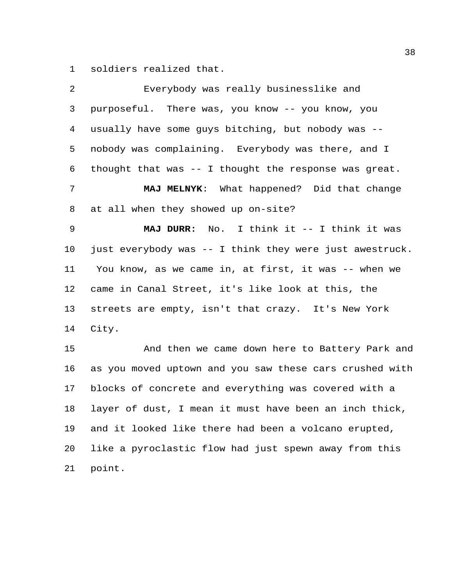soldiers realized that.

| 2  | Everybody was really businesslike and                   |
|----|---------------------------------------------------------|
| 3  | purposeful. There was, you know -- you know, you        |
| 4  | usually have some guys bitching, but nobody was --      |
| 5  | nobody was complaining. Everybody was there, and I      |
| 6  | thought that was -- I thought the response was great.   |
| 7  | MAJ MELNYK: What happened? Did that change              |
| 8  | at all when they showed up on-site?                     |
| 9  | MAJ DURR: No. I think it -- I think it was              |
| 10 | just everybody was -- I think they were just awestruck. |
| 11 | You know, as we came in, at first, it was -- when we    |
| 12 | came in Canal Street, it's like look at this, the       |
| 13 | streets are empty, isn't that crazy. It's New York      |
| 14 | City.                                                   |
| 15 | And then we came down here to Battery Park and          |
| 16 | as you moved uptown and you saw these cars crushed with |
| 17 | blocks of concrete and everything was covered with a    |
| 18 | layer of dust, I mean it must have been an inch thick,  |
| 19 | and it looked like there had been a volcano erupted,    |
| 20 | like a pyroclastic flow had just spewn away from this   |
| 21 | point.                                                  |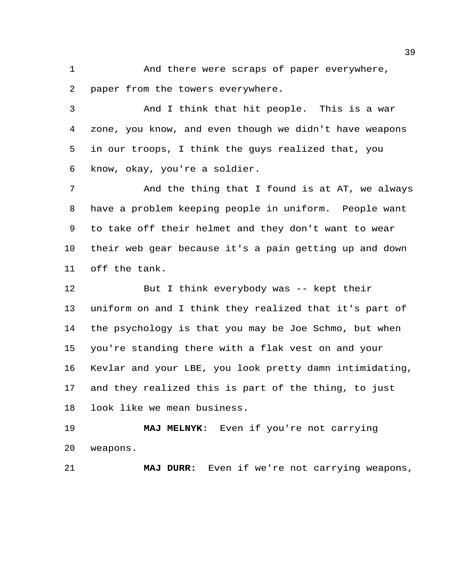And there were scraps of paper everywhere, paper from the towers everywhere.

 And I think that hit people. This is a war zone, you know, and even though we didn't have weapons in our troops, I think the guys realized that, you know, okay, you're a soldier.

7 And the thing that I found is at AT, we always have a problem keeping people in uniform. People want to take off their helmet and they don't want to wear their web gear because it's a pain getting up and down off the tank.

 But I think everybody was -- kept their uniform on and I think they realized that it's part of the psychology is that you may be Joe Schmo, but when you're standing there with a flak vest on and your Kevlar and your LBE, you look pretty damn intimidating, and they realized this is part of the thing, to just look like we mean business.

 **MAJ MELNYK**: Even if you're not carrying weapons.

**MAJ DURR:** Even if we're not carrying weapons,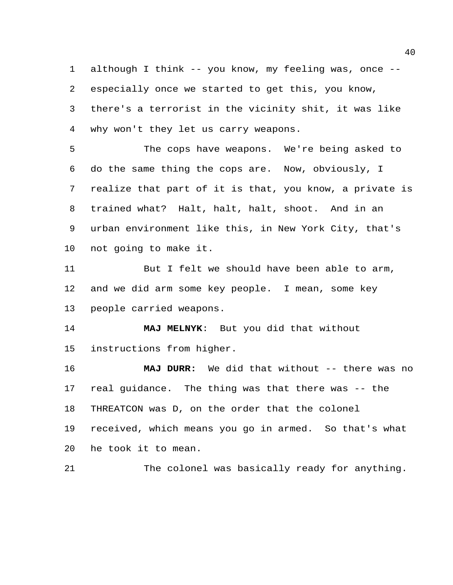although I think -- you know, my feeling was, once -- especially once we started to get this, you know, there's a terrorist in the vicinity shit, it was like why won't they let us carry weapons.

 The cops have weapons. We're being asked to do the same thing the cops are. Now, obviously, I realize that part of it is that, you know, a private is trained what? Halt, halt, halt, shoot. And in an urban environment like this, in New York City, that's not going to make it.

 But I felt we should have been able to arm, and we did arm some key people. I mean, some key people carried weapons.

 **MAJ MELNYK**: But you did that without instructions from higher.

 **MAJ DURR:** We did that without -- there was no real guidance. The thing was that there was -- the THREATCON was D, on the order that the colonel received, which means you go in armed. So that's what he took it to mean.

The colonel was basically ready for anything.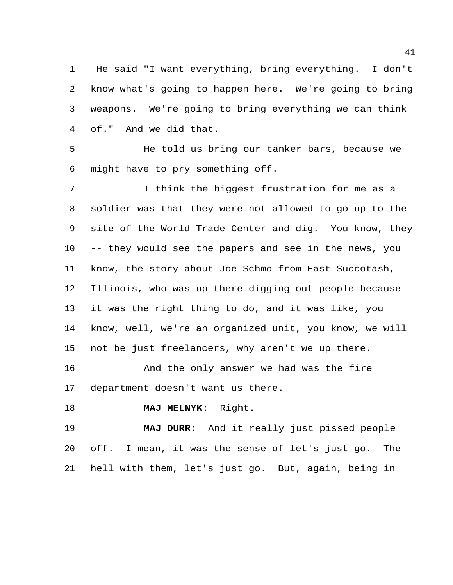He said "I want everything, bring everything. I don't know what's going to happen here. We're going to bring weapons. We're going to bring everything we can think of." And we did that.

 He told us bring our tanker bars, because we might have to pry something off.

 I think the biggest frustration for me as a soldier was that they were not allowed to go up to the site of the World Trade Center and dig. You know, they -- they would see the papers and see in the news, you know, the story about Joe Schmo from East Succotash, Illinois, who was up there digging out people because it was the right thing to do, and it was like, you know, well, we're an organized unit, you know, we will not be just freelancers, why aren't we up there.

 And the only answer we had was the fire department doesn't want us there.

**MAJ MELNYK**: Right.

 **MAJ DURR:** And it really just pissed people off. I mean, it was the sense of let's just go. The hell with them, let's just go. But, again, being in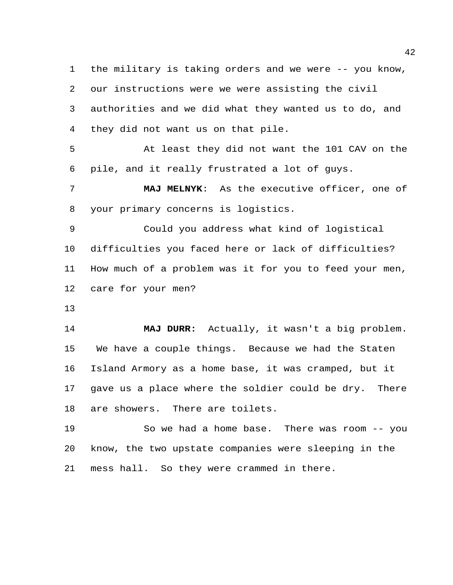the military is taking orders and we were -- you know, our instructions were we were assisting the civil authorities and we did what they wanted us to do, and they did not want us on that pile.

 At least they did not want the 101 CAV on the pile, and it really frustrated a lot of guys.

 **MAJ MELNYK**: As the executive officer, one of your primary concerns is logistics.

 Could you address what kind of logistical difficulties you faced here or lack of difficulties? How much of a problem was it for you to feed your men, care for your men?

 **MAJ DURR:** Actually, it wasn't a big problem. We have a couple things. Because we had the Staten Island Armory as a home base, it was cramped, but it gave us a place where the soldier could be dry. There are showers. There are toilets.

 So we had a home base. There was room -- you know, the two upstate companies were sleeping in the mess hall. So they were crammed in there.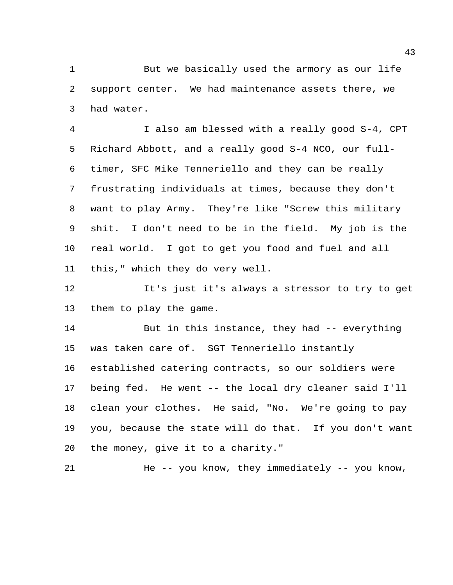1 But we basically used the armory as our life support center. We had maintenance assets there, we had water.

 I also am blessed with a really good S-4, CPT Richard Abbott, and a really good S-4 NCO, our full- timer, SFC Mike Tenneriello and they can be really frustrating individuals at times, because they don't want to play Army. They're like "Screw this military shit. I don't need to be in the field. My job is the real world. I got to get you food and fuel and all this," which they do very well.

 It's just it's always a stressor to try to get them to play the game.

 But in this instance, they had -- everything was taken care of. SGT Tenneriello instantly established catering contracts, so our soldiers were being fed. He went -- the local dry cleaner said I'll clean your clothes. He said, "No. We're going to pay you, because the state will do that. If you don't want the money, give it to a charity."

21 He -- you know, they immediately -- you know,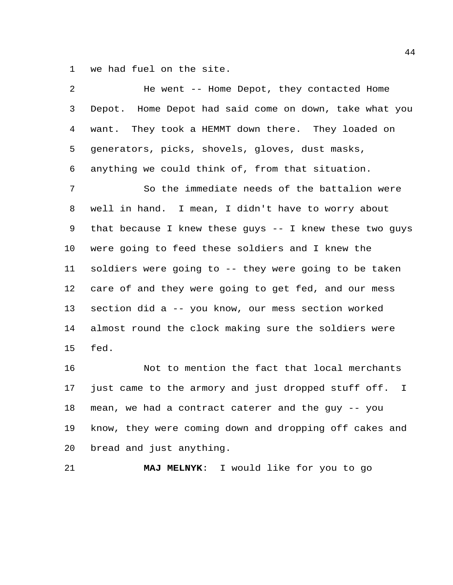we had fuel on the site.

| 2              | He went -- Home Depot, they contacted Home              |
|----------------|---------------------------------------------------------|
| 3              | Depot. Home Depot had said come on down, take what you  |
| $\overline{4}$ | want. They took a HEMMT down there. They loaded on      |
| 5              | generators, picks, shovels, gloves, dust masks,         |
| 6              | anything we could think of, from that situation.        |
| 7              | So the immediate needs of the battalion were            |
| 8              | well in hand. I mean, I didn't have to worry about      |
| 9              | that because I knew these guys -- I knew these two guys |
| 10             | were going to feed these soldiers and I knew the        |
| 11             | soldiers were going to -- they were going to be taken   |
| 12             | care of and they were going to get fed, and our mess    |
| 13             | section did a -- you know, our mess section worked      |
| 14             | almost round the clock making sure the soldiers were    |
| 15             | fed.                                                    |
| 16             | Not to mention the fact that local merchants            |
| 17             | just came to the armory and just dropped stuff off. I   |
| 18             | mean, we had a contract caterer and the guy -- you      |
| 19             | know, they were coming down and dropping off cakes and  |

bread and just anything.

**MAJ MELNYK**: I would like for you to go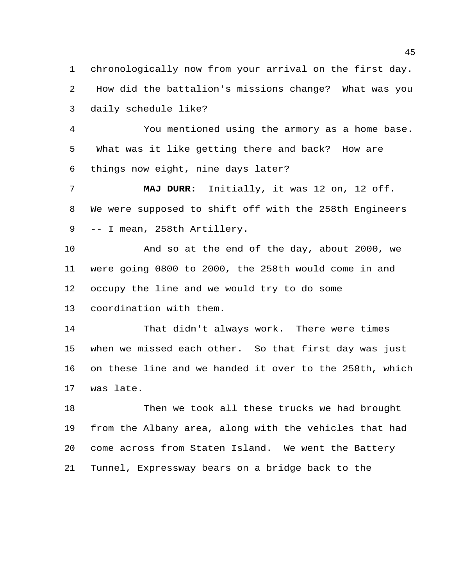chronologically now from your arrival on the first day. How did the battalion's missions change? What was you daily schedule like?

 You mentioned using the armory as a home base. What was it like getting there and back? How are things now eight, nine days later?

 **MAJ DURR:** Initially, it was 12 on, 12 off. We were supposed to shift off with the 258th Engineers -- I mean, 258th Artillery.

 And so at the end of the day, about 2000, we were going 0800 to 2000, the 258th would come in and occupy the line and we would try to do some

coordination with them.

 That didn't always work. There were times when we missed each other. So that first day was just on these line and we handed it over to the 258th, which was late.

 Then we took all these trucks we had brought from the Albany area, along with the vehicles that had come across from Staten Island. We went the Battery Tunnel, Expressway bears on a bridge back to the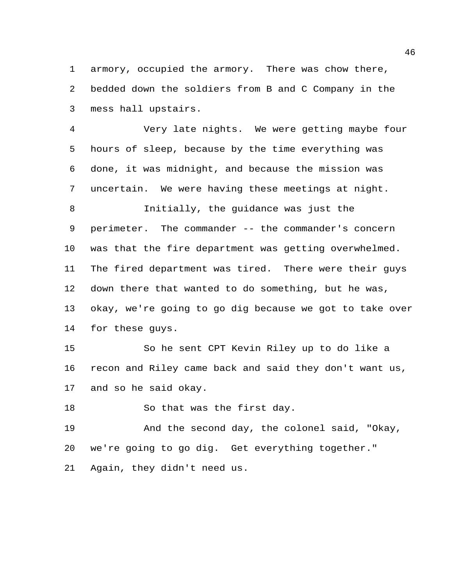armory, occupied the armory. There was chow there, bedded down the soldiers from B and C Company in the mess hall upstairs.

 Very late nights. We were getting maybe four hours of sleep, because by the time everything was done, it was midnight, and because the mission was uncertain. We were having these meetings at night. Initially, the guidance was just the perimeter. The commander -- the commander's concern was that the fire department was getting overwhelmed. The fired department was tired. There were their guys down there that wanted to do something, but he was, okay, we're going to go dig because we got to take over for these guys.

 So he sent CPT Kevin Riley up to do like a recon and Riley came back and said they don't want us, and so he said okay.

18 So that was the first day.

 And the second day, the colonel said, "Okay, we're going to go dig. Get everything together." Again, they didn't need us.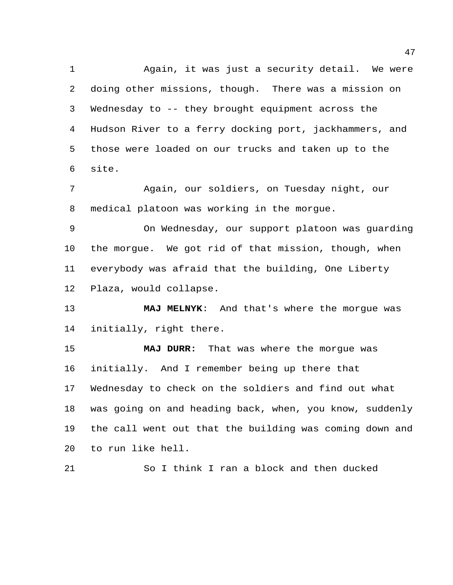Again, it was just a security detail. We were doing other missions, though. There was a mission on Wednesday to -- they brought equipment across the Hudson River to a ferry docking port, jackhammers, and those were loaded on our trucks and taken up to the site.

 Again, our soldiers, on Tuesday night, our medical platoon was working in the morgue.

 On Wednesday, our support platoon was guarding the morgue. We got rid of that mission, though, when everybody was afraid that the building, One Liberty Plaza, would collapse.

 **MAJ MELNYK**: And that's where the morgue was initially, right there.

 **MAJ DURR:** That was where the morgue was initially. And I remember being up there that Wednesday to check on the soldiers and find out what was going on and heading back, when, you know, suddenly the call went out that the building was coming down and to run like hell.

So I think I ran a block and then ducked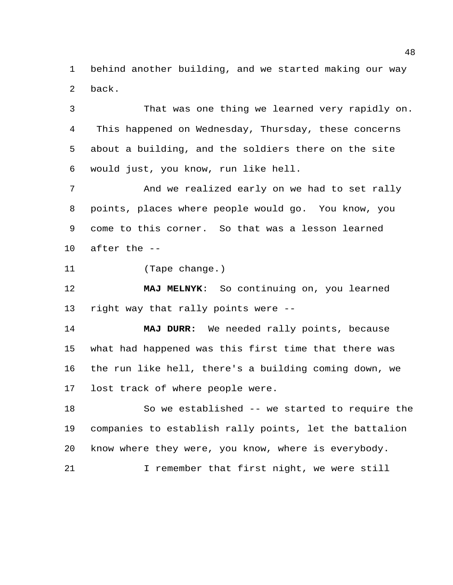behind another building, and we started making our way back.

 That was one thing we learned very rapidly on. This happened on Wednesday, Thursday, these concerns about a building, and the soldiers there on the site would just, you know, run like hell.

 And we realized early on we had to set rally points, places where people would go. You know, you come to this corner. So that was a lesson learned after the --

(Tape change.)

 **MAJ MELNYK**: So continuing on, you learned right way that rally points were --

 **MAJ DURR:** We needed rally points, because what had happened was this first time that there was the run like hell, there's a building coming down, we lost track of where people were.

 So we established -- we started to require the companies to establish rally points, let the battalion know where they were, you know, where is everybody.

I remember that first night, we were still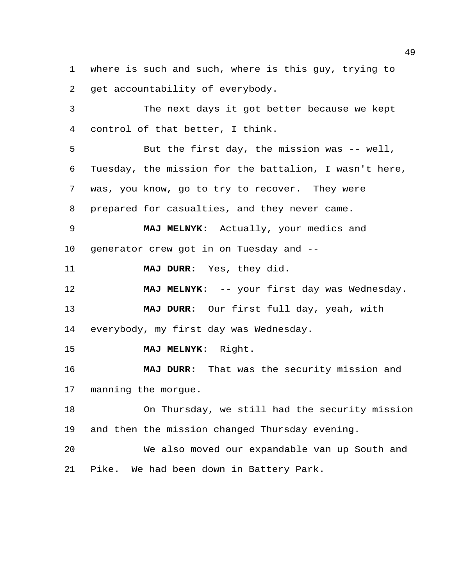where is such and such, where is this guy, trying to get accountability of everybody.

 The next days it got better because we kept control of that better, I think.

 But the first day, the mission was -- well, Tuesday, the mission for the battalion, I wasn't here, was, you know, go to try to recover. They were prepared for casualties, and they never came. **MAJ MELNYK**: Actually, your medics and generator crew got in on Tuesday and -- **MAJ DURR:** Yes, they did. **MAJ MELNYK**: -- your first day was Wednesday. **MAJ DURR:** Our first full day, yeah, with everybody, my first day was Wednesday. **MAJ MELNYK**: Right. **MAJ DURR:** That was the security mission and manning the morgue. On Thursday, we still had the security mission

and then the mission changed Thursday evening.

 We also moved our expandable van up South and Pike. We had been down in Battery Park.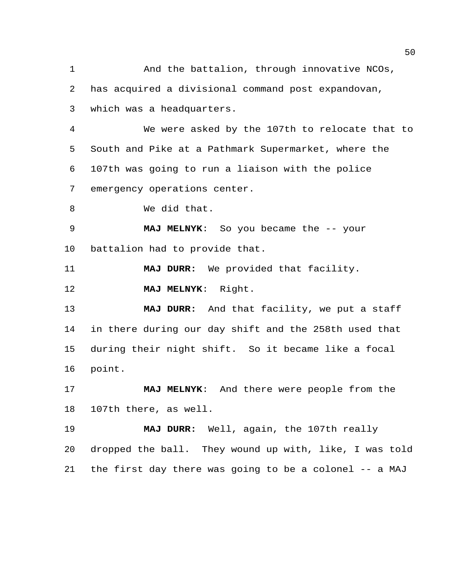1 And the battalion, through innovative NCOs, has acquired a divisional command post expandovan, which was a headquarters. We were asked by the 107th to relocate that to South and Pike at a Pathmark Supermarket, where the 107th was going to run a liaison with the police emergency operations center. We did that. **MAJ MELNYK**: So you became the -- your battalion had to provide that. **MAJ DURR:** We provided that facility. **MAJ MELNYK**: Right. **MAJ DURR:** And that facility, we put a staff in there during our day shift and the 258th used that during their night shift. So it became like a focal point. **MAJ MELNYK**: And there were people from the 107th there, as well. **MAJ DURR:** Well, again, the 107th really dropped the ball. They wound up with, like, I was told the first day there was going to be a colonel -- a MAJ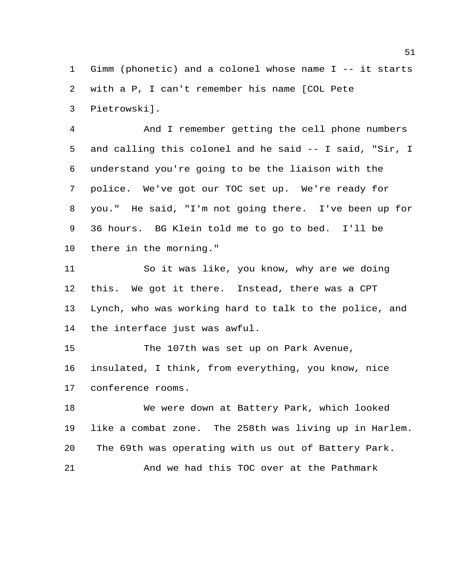Gimm (phonetic) and a colonel whose name I -- it starts with a P, I can't remember his name [COL Pete Pietrowski].

 And I remember getting the cell phone numbers and calling this colonel and he said -- I said, "Sir, I understand you're going to be the liaison with the police. We've got our TOC set up. We're ready for you." He said, "I'm not going there. I've been up for 36 hours. BG Klein told me to go to bed. I'll be there in the morning."

 So it was like, you know, why are we doing this. We got it there. Instead, there was a CPT Lynch, who was working hard to talk to the police, and the interface just was awful.

 The 107th was set up on Park Avenue, insulated, I think, from everything, you know, nice conference rooms.

 We were down at Battery Park, which looked like a combat zone. The 258th was living up in Harlem. The 69th was operating with us out of Battery Park. And we had this TOC over at the Pathmark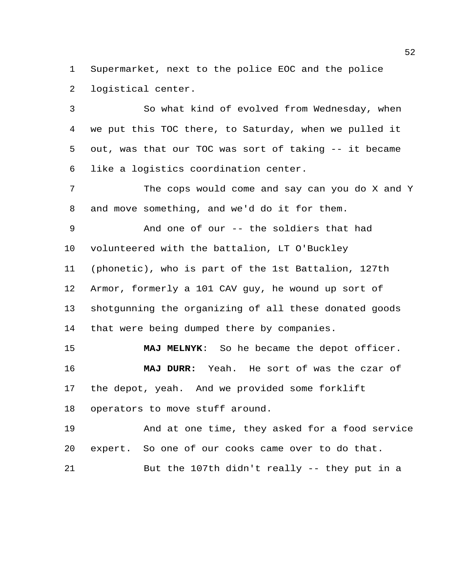Supermarket, next to the police EOC and the police logistical center.

 So what kind of evolved from Wednesday, when we put this TOC there, to Saturday, when we pulled it out, was that our TOC was sort of taking -- it became like a logistics coordination center.

 The cops would come and say can you do X and Y and move something, and we'd do it for them.

And one of our -- the soldiers that had

volunteered with the battalion, LT O'Buckley

(phonetic), who is part of the 1st Battalion, 127th

 Armor, formerly a 101 CAV guy, he wound up sort of shotgunning the organizing of all these donated goods that were being dumped there by companies.

 **MAJ MELNYK**: So he became the depot officer. **MAJ DURR:** Yeah. He sort of was the czar of the depot, yeah. And we provided some forklift operators to move stuff around.

 And at one time, they asked for a food service expert. So one of our cooks came over to do that.

But the 107th didn't really -- they put in a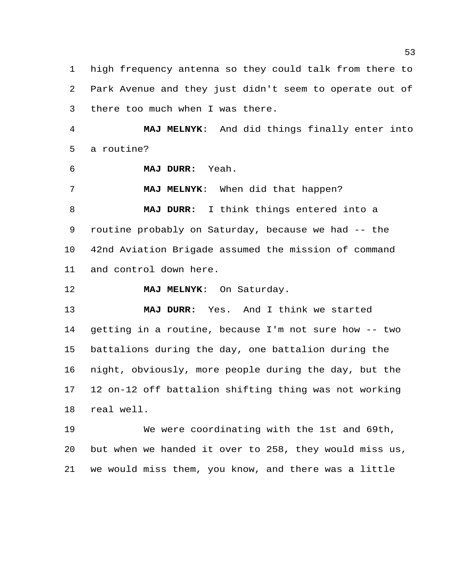high frequency antenna so they could talk from there to Park Avenue and they just didn't seem to operate out of there too much when I was there.

 **MAJ MELNYK**: And did things finally enter into a routine?

**MAJ DURR:** Yeah.

**MAJ MELNYK**: When did that happen?

 **MAJ DURR:** I think things entered into a routine probably on Saturday, because we had -- the 42nd Aviation Brigade assumed the mission of command and control down here.

**MAJ MELNYK**: On Saturday.

 **MAJ DURR:** Yes. And I think we started getting in a routine, because I'm not sure how -- two battalions during the day, one battalion during the night, obviously, more people during the day, but the 12 on-12 off battalion shifting thing was not working real well.

 We were coordinating with the 1st and 69th, but when we handed it over to 258, they would miss us, we would miss them, you know, and there was a little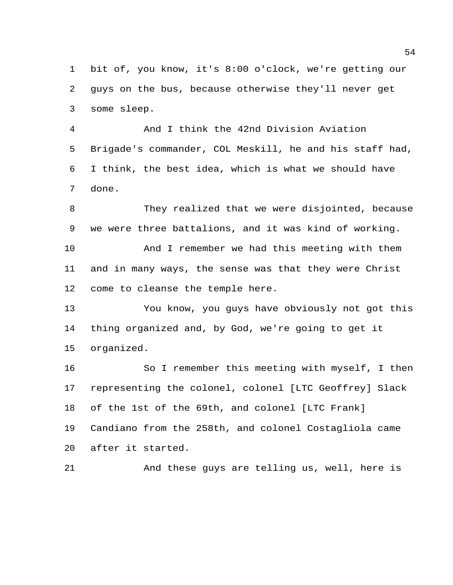bit of, you know, it's 8:00 o'clock, we're getting our guys on the bus, because otherwise they'll never get some sleep.

 And I think the 42nd Division Aviation Brigade's commander, COL Meskill, he and his staff had, I think, the best idea, which is what we should have done.

 They realized that we were disjointed, because we were three battalions, and it was kind of working.

 And I remember we had this meeting with them and in many ways, the sense was that they were Christ come to cleanse the temple here.

 You know, you guys have obviously not got this thing organized and, by God, we're going to get it organized.

16 So I remember this meeting with myself, I then representing the colonel, colonel [LTC Geoffrey] Slack of the 1st of the 69th, and colonel [LTC Frank] Candiano from the 258th, and colonel Costagliola came after it started.

And these guys are telling us, well, here is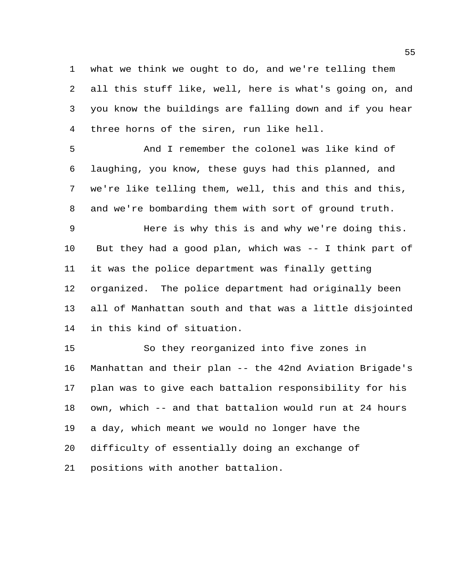what we think we ought to do, and we're telling them all this stuff like, well, here is what's going on, and you know the buildings are falling down and if you hear three horns of the siren, run like hell.

 And I remember the colonel was like kind of laughing, you know, these guys had this planned, and we're like telling them, well, this and this and this, and we're bombarding them with sort of ground truth.

 Here is why this is and why we're doing this. But they had a good plan, which was -- I think part of it was the police department was finally getting organized. The police department had originally been all of Manhattan south and that was a little disjointed in this kind of situation.

 So they reorganized into five zones in Manhattan and their plan -- the 42nd Aviation Brigade's plan was to give each battalion responsibility for his own, which -- and that battalion would run at 24 hours a day, which meant we would no longer have the difficulty of essentially doing an exchange of positions with another battalion.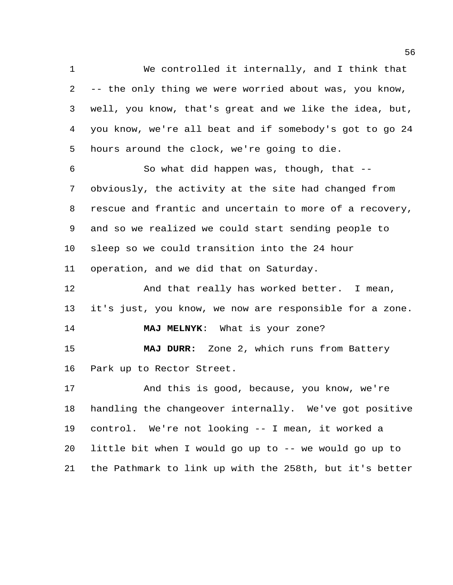We controlled it internally, and I think that -- the only thing we were worried about was, you know, well, you know, that's great and we like the idea, but, you know, we're all beat and if somebody's got to go 24 hours around the clock, we're going to die.

 So what did happen was, though, that -- obviously, the activity at the site had changed from rescue and frantic and uncertain to more of a recovery, and so we realized we could start sending people to sleep so we could transition into the 24 hour operation, and we did that on Saturday.

12 And that really has worked better. I mean, it's just, you know, we now are responsible for a zone. **MAJ MELNYK**: What is your zone? **MAJ DURR:** Zone 2, which runs from Battery Park up to Rector Street. And this is good, because, you know, we're

 handling the changeover internally. We've got positive control. We're not looking -- I mean, it worked a little bit when I would go up to -- we would go up to the Pathmark to link up with the 258th, but it's better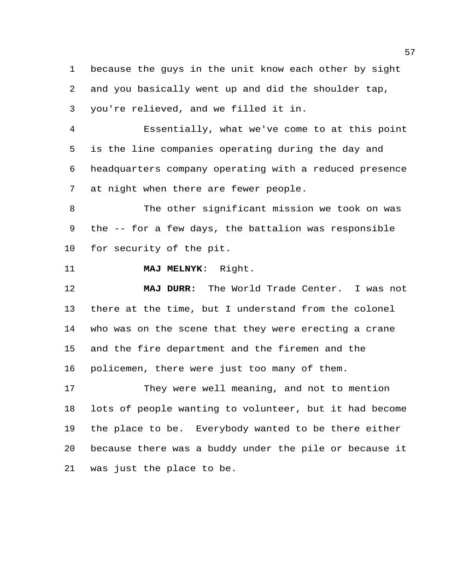because the guys in the unit know each other by sight and you basically went up and did the shoulder tap, you're relieved, and we filled it in.

 Essentially, what we've come to at this point is the line companies operating during the day and headquarters company operating with a reduced presence at night when there are fewer people.

 The other significant mission we took on was the -- for a few days, the battalion was responsible for security of the pit.

**MAJ MELNYK**: Right.

 **MAJ DURR:** The World Trade Center. I was not there at the time, but I understand from the colonel who was on the scene that they were erecting a crane and the fire department and the firemen and the policemen, there were just too many of them.

 They were well meaning, and not to mention lots of people wanting to volunteer, but it had become the place to be. Everybody wanted to be there either because there was a buddy under the pile or because it was just the place to be.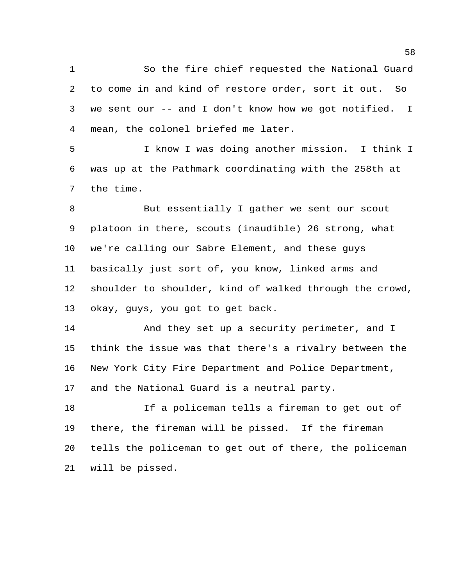So the fire chief requested the National Guard to come in and kind of restore order, sort it out. So we sent our -- and I don't know how we got notified. I mean, the colonel briefed me later.

 I know I was doing another mission. I think I was up at the Pathmark coordinating with the 258th at the time.

8 But essentially I gather we sent our scout platoon in there, scouts (inaudible) 26 strong, what we're calling our Sabre Element, and these guys basically just sort of, you know, linked arms and shoulder to shoulder, kind of walked through the crowd, okay, guys, you got to get back.

14 And they set up a security perimeter, and I think the issue was that there's a rivalry between the New York City Fire Department and Police Department, and the National Guard is a neutral party.

 If a policeman tells a fireman to get out of there, the fireman will be pissed. If the fireman tells the policeman to get out of there, the policeman will be pissed.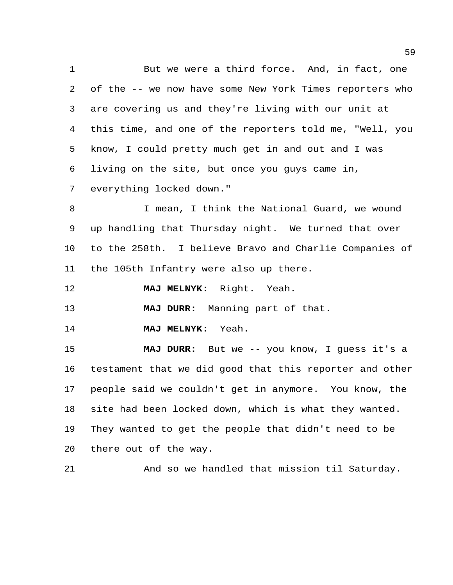1 But we were a third force. And, in fact, one of the -- we now have some New York Times reporters who are covering us and they're living with our unit at this time, and one of the reporters told me, "Well, you know, I could pretty much get in and out and I was living on the site, but once you guys came in, everything locked down."

 I mean, I think the National Guard, we wound up handling that Thursday night. We turned that over to the 258th. I believe Bravo and Charlie Companies of the 105th Infantry were also up there.

**MAJ MELNYK**: Right. Yeah.

**MAJ DURR:** Manning part of that.

**MAJ MELNYK**: Yeah.

 **MAJ DURR:** But we -- you know, I guess it's a testament that we did good that this reporter and other people said we couldn't get in anymore. You know, the site had been locked down, which is what they wanted. They wanted to get the people that didn't need to be there out of the way.

And so we handled that mission til Saturday.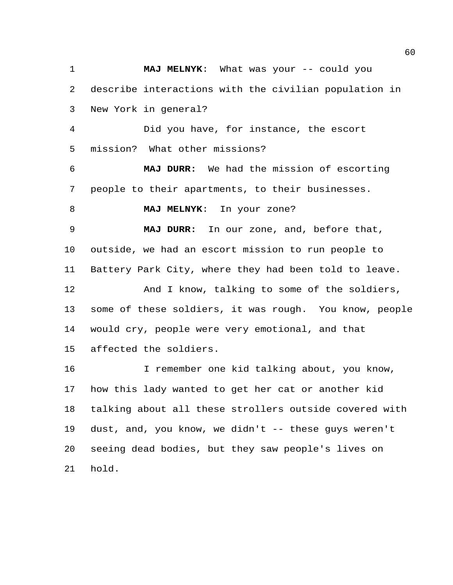**MAJ MELNYK**: What was your -- could you describe interactions with the civilian population in New York in general? Did you have, for instance, the escort mission? What other missions? **MAJ DURR:** We had the mission of escorting people to their apartments, to their businesses. **MAJ MELNYK**: In your zone? **MAJ DURR:** In our zone, and, before that, outside, we had an escort mission to run people to Battery Park City, where they had been told to leave. And I know, talking to some of the soldiers, some of these soldiers, it was rough. You know, people would cry, people were very emotional, and that affected the soldiers. I remember one kid talking about, you know, how this lady wanted to get her cat or another kid talking about all these strollers outside covered with dust, and, you know, we didn't -- these guys weren't seeing dead bodies, but they saw people's lives on hold.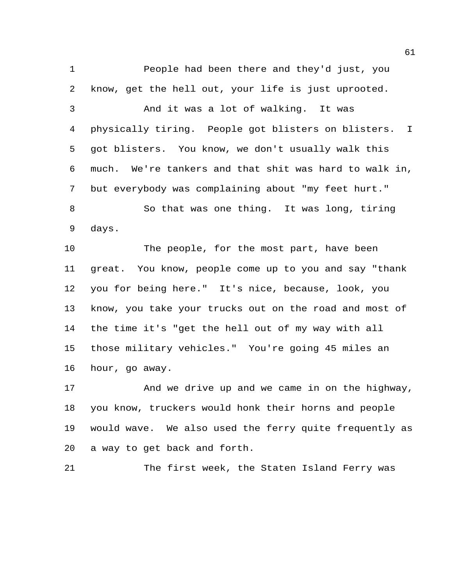People had been there and they'd just, you know, get the hell out, your life is just uprooted. And it was a lot of walking. It was physically tiring. People got blisters on blisters. I got blisters. You know, we don't usually walk this much. We're tankers and that shit was hard to walk in, but everybody was complaining about "my feet hurt." So that was one thing. It was long, tiring days. The people, for the most part, have been great. You know, people come up to you and say "thank you for being here." It's nice, because, look, you know, you take your trucks out on the road and most of the time it's "get the hell out of my way with all those military vehicles." You're going 45 miles an

hour, go away.

 And we drive up and we came in on the highway, you know, truckers would honk their horns and people would wave. We also used the ferry quite frequently as a way to get back and forth.

The first week, the Staten Island Ferry was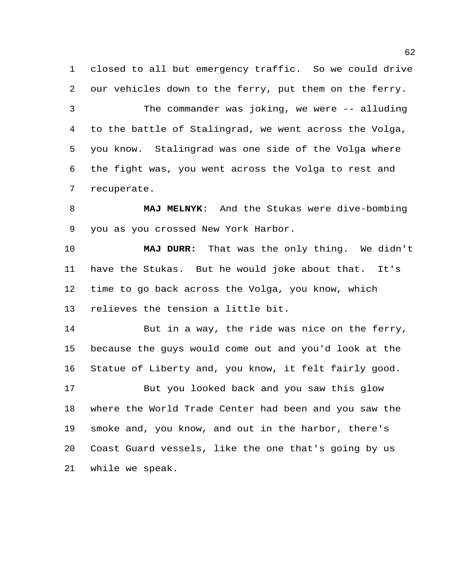closed to all but emergency traffic. So we could drive our vehicles down to the ferry, put them on the ferry. The commander was joking, we were -- alluding to the battle of Stalingrad, we went across the Volga, you know. Stalingrad was one side of the Volga where the fight was, you went across the Volga to rest and recuperate.

 **MAJ MELNYK**: And the Stukas were dive-bombing you as you crossed New York Harbor.

 **MAJ DURR:** That was the only thing. We didn't have the Stukas. But he would joke about that. It's time to go back across the Volga, you know, which relieves the tension a little bit.

 But in a way, the ride was nice on the ferry, because the guys would come out and you'd look at the Statue of Liberty and, you know, it felt fairly good.

 But you looked back and you saw this glow where the World Trade Center had been and you saw the smoke and, you know, and out in the harbor, there's Coast Guard vessels, like the one that's going by us while we speak.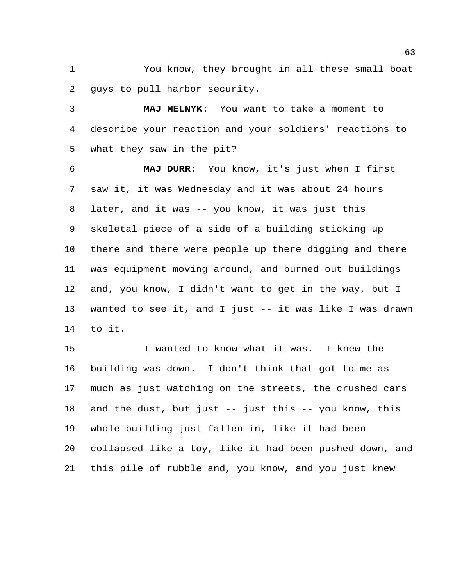You know, they brought in all these small boat guys to pull harbor security.

 **MAJ MELNYK**: You want to take a moment to describe your reaction and your soldiers' reactions to what they saw in the pit?

 **MAJ DURR:** You know, it's just when I first saw it, it was Wednesday and it was about 24 hours later, and it was -- you know, it was just this skeletal piece of a side of a building sticking up there and there were people up there digging and there was equipment moving around, and burned out buildings and, you know, I didn't want to get in the way, but I wanted to see it, and I just -- it was like I was drawn to it.

 I wanted to know what it was. I knew the building was down. I don't think that got to me as much as just watching on the streets, the crushed cars and the dust, but just -- just this -- you know, this whole building just fallen in, like it had been collapsed like a toy, like it had been pushed down, and this pile of rubble and, you know, and you just knew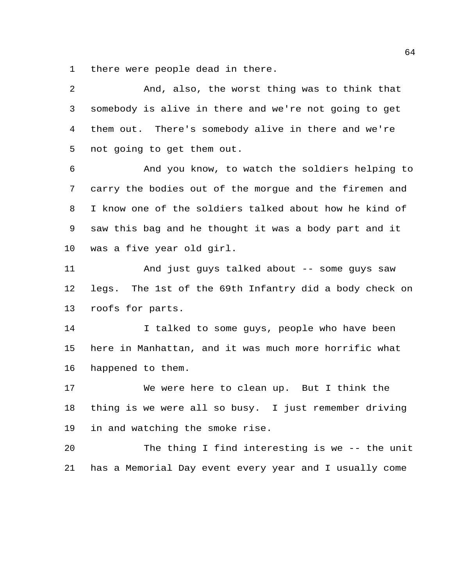there were people dead in there.

| 2  | And, also, the worst thing was to think that           |
|----|--------------------------------------------------------|
| 3  | somebody is alive in there and we're not going to get  |
| 4  | them out. There's somebody alive in there and we're    |
| 5  | not going to get them out.                             |
| 6  | And you know, to watch the soldiers helping to         |
| 7  | carry the bodies out of the morgue and the firemen and |
| 8  | I know one of the soldiers talked about how he kind of |
| 9  | saw this bag and he thought it was a body part and it  |
| 10 | was a five year old girl.                              |
| 11 | And just guys talked about -- some guys saw            |
| 12 | legs. The 1st of the 69th Infantry did a body check on |
| 13 | roofs for parts.                                       |
| 14 | I talked to some guys, people who have been            |
| 15 | here in Manhattan, and it was much more horrific what  |
| 16 | happened to them.                                      |
| 17 | We were here to clean up. But I think the              |
| 18 | thing is we were all so busy. I just remember driving  |
| 19 | in and watching the smoke rise.                        |
| 20 | The thing I find interesting is we -- the unit         |
| 21 | has a Memorial Day event every year and I usually come |
|    |                                                        |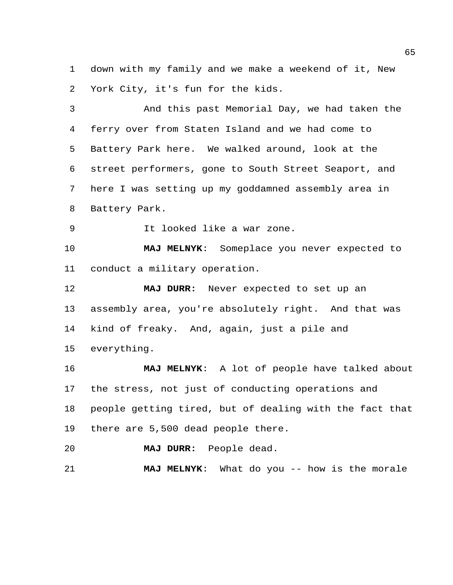down with my family and we make a weekend of it, New York City, it's fun for the kids.

 And this past Memorial Day, we had taken the ferry over from Staten Island and we had come to Battery Park here. We walked around, look at the street performers, gone to South Street Seaport, and here I was setting up my goddamned assembly area in Battery Park.

It looked like a war zone.

 **MAJ MELNYK**: Someplace you never expected to conduct a military operation.

 **MAJ DURR:** Never expected to set up an assembly area, you're absolutely right. And that was kind of freaky. And, again, just a pile and everything.

 **MAJ MELNYK**: A lot of people have talked about the stress, not just of conducting operations and people getting tired, but of dealing with the fact that there are 5,500 dead people there.

**MAJ DURR:** People dead.

**MAJ MELNYK**: What do you -- how is the morale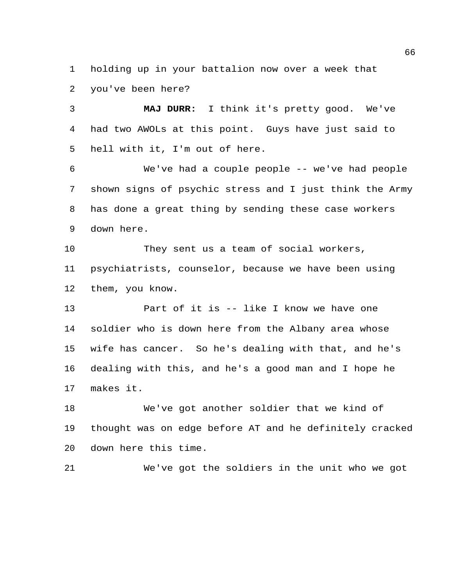holding up in your battalion now over a week that you've been here?

 **MAJ DURR:** I think it's pretty good. We've had two AWOLs at this point. Guys have just said to hell with it, I'm out of here.

 We've had a couple people -- we've had people shown signs of psychic stress and I just think the Army has done a great thing by sending these case workers down here.

 They sent us a team of social workers, psychiatrists, counselor, because we have been using them, you know.

 Part of it is -- like I know we have one soldier who is down here from the Albany area whose wife has cancer. So he's dealing with that, and he's dealing with this, and he's a good man and I hope he makes it.

 We've got another soldier that we kind of thought was on edge before AT and he definitely cracked down here this time.

We've got the soldiers in the unit who we got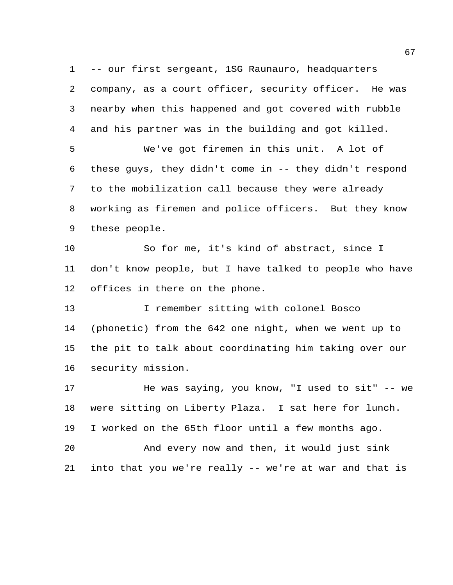-- our first sergeant, 1SG Raunauro, headquarters company, as a court officer, security officer. He was nearby when this happened and got covered with rubble and his partner was in the building and got killed. We've got firemen in this unit. A lot of

 these guys, they didn't come in -- they didn't respond to the mobilization call because they were already working as firemen and police officers. But they know these people.

 So for me, it's kind of abstract, since I don't know people, but I have talked to people who have offices in there on the phone.

 I remember sitting with colonel Bosco (phonetic) from the 642 one night, when we went up to the pit to talk about coordinating him taking over our security mission.

 He was saying, you know, "I used to sit" -- we were sitting on Liberty Plaza. I sat here for lunch. I worked on the 65th floor until a few months ago. And every now and then, it would just sink

into that you we're really -- we're at war and that is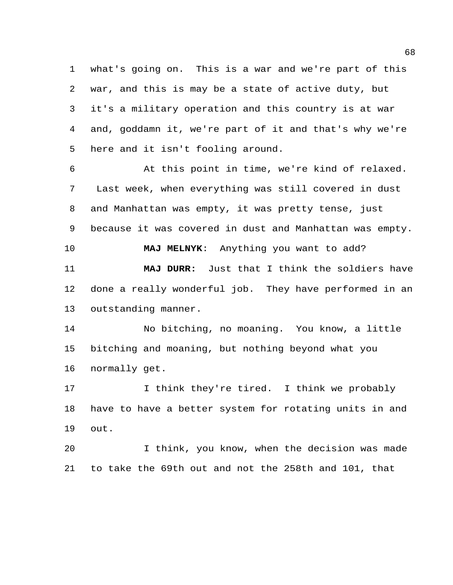what's going on. This is a war and we're part of this war, and this is may be a state of active duty, but it's a military operation and this country is at war and, goddamn it, we're part of it and that's why we're here and it isn't fooling around.

 At this point in time, we're kind of relaxed. Last week, when everything was still covered in dust and Manhattan was empty, it was pretty tense, just because it was covered in dust and Manhattan was empty. **MAJ MELNYK**: Anything you want to add? **MAJ DURR:** Just that I think the soldiers have done a really wonderful job. They have performed in an outstanding manner.

 No bitching, no moaning. You know, a little bitching and moaning, but nothing beyond what you normally get.

17 17 I think they're tired. I think we probably have to have a better system for rotating units in and out.

 I think, you know, when the decision was made to take the 69th out and not the 258th and 101, that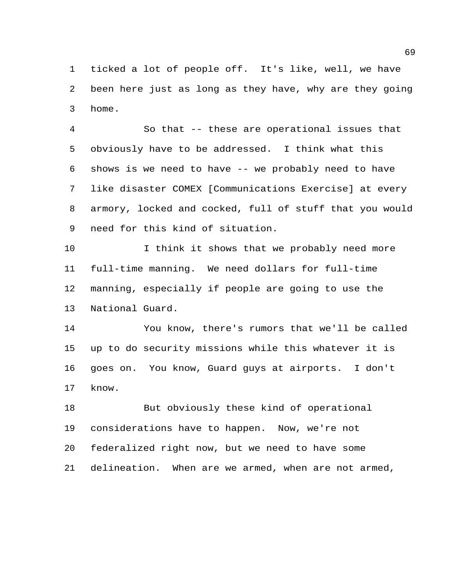ticked a lot of people off. It's like, well, we have been here just as long as they have, why are they going home.

 So that -- these are operational issues that obviously have to be addressed. I think what this shows is we need to have -- we probably need to have like disaster COMEX [Communications Exercise] at every armory, locked and cocked, full of stuff that you would need for this kind of situation.

 I think it shows that we probably need more full-time manning. We need dollars for full-time manning, especially if people are going to use the National Guard.

 You know, there's rumors that we'll be called up to do security missions while this whatever it is goes on. You know, Guard guys at airports. I don't know.

 But obviously these kind of operational considerations have to happen. Now, we're not federalized right now, but we need to have some delineation. When are we armed, when are not armed,